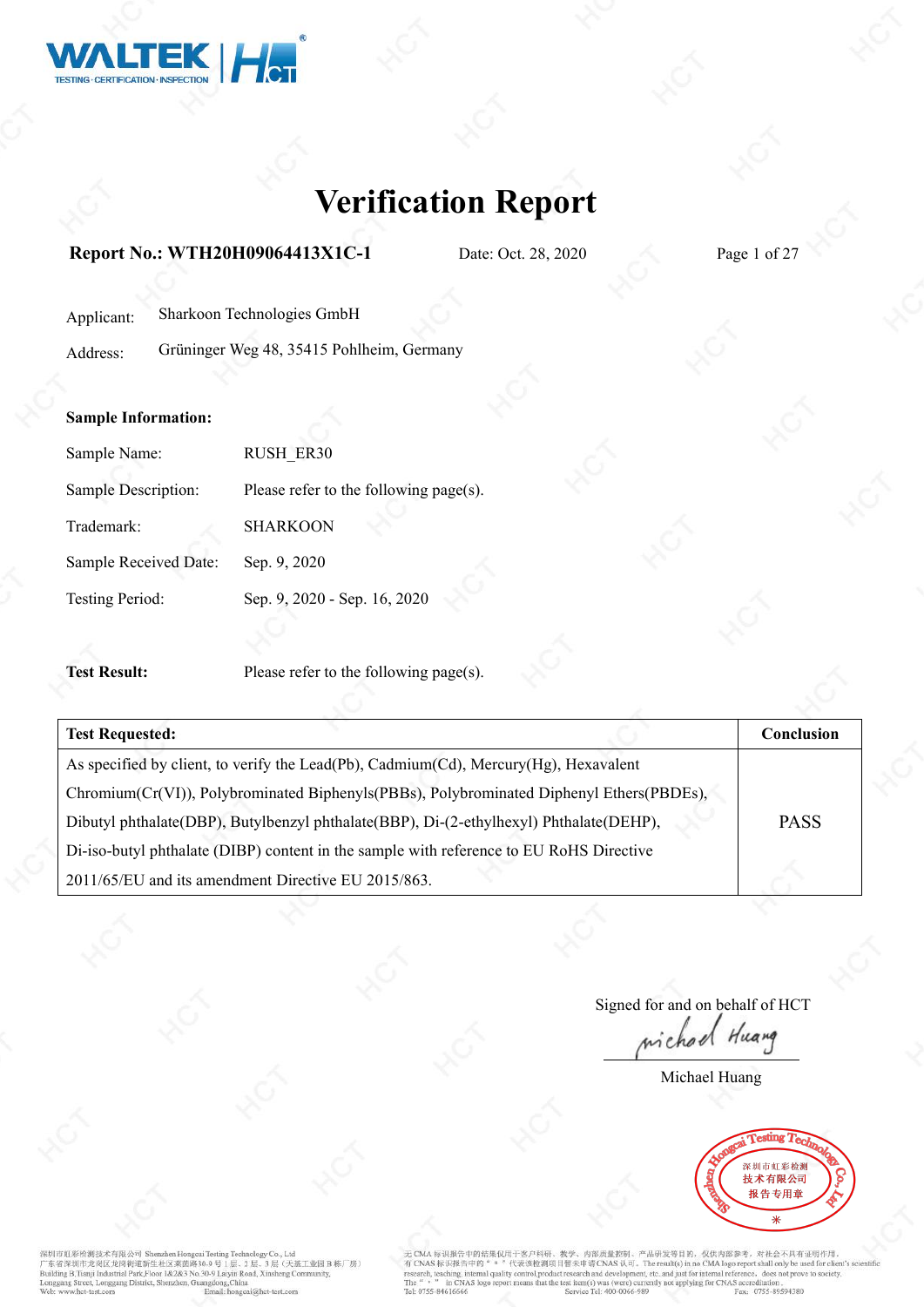

### **Report No.: WTH20H09064413X1C-1** Date: Oct. 28, 2020 Page 1 of 27

| Applicant: | Sharkoon Technologies GmbH |  |
|------------|----------------------------|--|
|------------|----------------------------|--|

Address: Grüninger Weg 48, 35415 Pohlheim, Germany

### **Sample Information:**

| Sample Name:          | <b>RUSH ER30</b>                       |
|-----------------------|----------------------------------------|
| Sample Description:   | Please refer to the following page(s). |
| Trademark:            | <b>SHARKOON</b>                        |
| Sample Received Date: | Sep. 9, 2020                           |
| Testing Period:       | Sep. 9, 2020 - Sep. 16, 2020           |

**Test Result:** Please refer to the following page(s).

| <b>Test Requested:</b>                                                                   | <b>Conclusion</b> |
|------------------------------------------------------------------------------------------|-------------------|
| As specified by client, to verify the Lead(Pb), Cadmium(Cd), Mercury(Hg), Hexavalent     |                   |
| Chromium(Cr(VI)), Polybrominated Biphenyls(PBBs), Polybrominated Diphenyl Ethers(PBDEs), |                   |
| Dibutyl phthalate(DBP), Butylbenzyl phthalate(BBP), Di-(2-ethylhexyl) Phthalate(DEHP),   | <b>PASS</b>       |
| Di-iso-butyl phthalate (DIBP) content in the sample with reference to EU RoHS Directive  |                   |
| 2011/65/EU and its amendment Directive EU 2015/863.                                      |                   |

Signed for and on behalf of HCT wichod Huang

Michael Huang



深圳市虹彩检测技术有限公司 Shenzhen Hongcai Testing Technology Co., Ltd<br>广东省深圳市龙岗区龙岗街道新生社区莱茵路30-9 号 1 层、2 层、3 层、(天基工业园 B 栋厂房)<br>Building B,Tuaji Industrial Park,Floor 1&2&3 No.30-9 Lajiri Road, Xinsheng Community,<br>Longgang Street, Longga Email: honecai@het-test.com

无 CMA 标识报告中的结果仅用于客户科研、教学、内部质量控制、产品研发等目的, 仅供内部参考, 对社会不具有证明作用。<br>有 CNAS 标识报告中的"。"代表该检测项目暂未申请 CNAS 认可。The result(s) in no CMA logo report shall only be used for client's so<br>research, teaching, internal quality control,product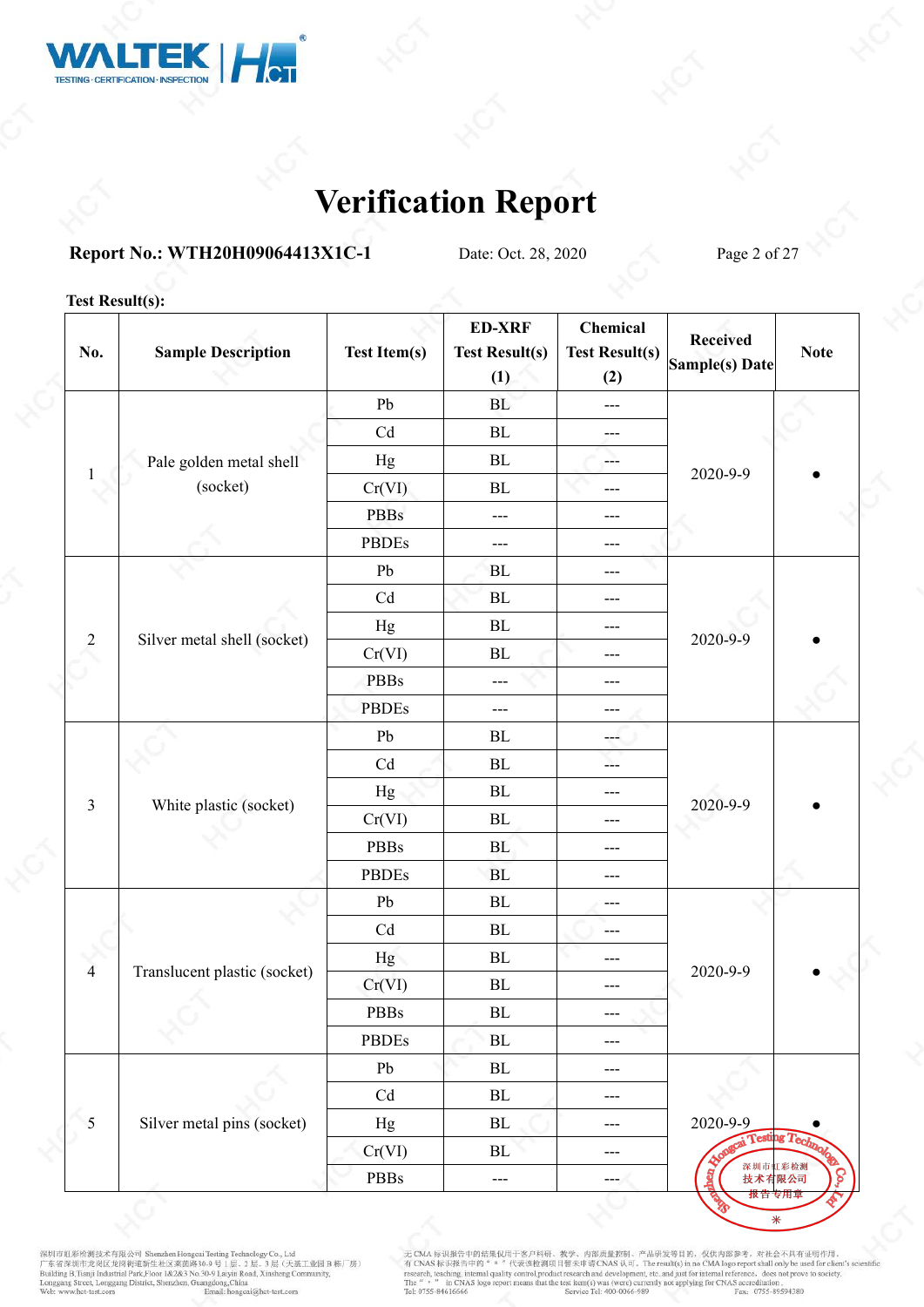

### **Report No.: WTH20H09064413X1C-1** Date: Oct. 28, 2020 Page 2 of 27

### **Test Result(s):**

| No.            | <b>Sample Description</b>    | <b>Test Item(s)</b> | <b>ED-XRF</b><br><b>Test Result(s)</b><br>(1) | Chemical<br><b>Test Result(s)</b><br>(2) | <b>Received</b><br>Sample(s) Date        | <b>Note</b> |  |
|----------------|------------------------------|---------------------|-----------------------------------------------|------------------------------------------|------------------------------------------|-------------|--|
|                |                              | Pb                  | BL                                            | $\qquad \qquad - -$                      |                                          |             |  |
|                |                              | Cd                  | BL                                            | ---                                      |                                          |             |  |
|                | Pale golden metal shell      | Hg                  | $\rm BL$                                      | $---$                                    |                                          |             |  |
|                | (socket)                     | Cr(VI)              | BL                                            | ---                                      | 2020-9-9                                 |             |  |
|                |                              | PBBs                | $---$                                         | ---                                      |                                          |             |  |
|                |                              | <b>PBDEs</b>        | ---                                           | $---$                                    |                                          |             |  |
|                |                              | ${\rm Pb}$          | BL                                            | $---$                                    |                                          |             |  |
|                |                              | Cd                  | ${\rm BL}$                                    | $---$                                    |                                          |             |  |
|                |                              | $_{\rm Hg}$         | $\rm BL$                                      | $---$                                    |                                          |             |  |
| $\overline{2}$ | Silver metal shell (socket)  | Cr(VI)              | BL                                            | $---$                                    | 2020-9-9                                 |             |  |
|                |                              | <b>PBBs</b>         | ---                                           | $---$                                    |                                          |             |  |
|                |                              | <b>PBDEs</b>        | ---                                           | $---$                                    |                                          |             |  |
|                |                              | Pb                  | $\rm BL$                                      | $-1$                                     |                                          |             |  |
|                |                              | Cd                  | ${\bf BL}$                                    | $-$                                      |                                          |             |  |
|                |                              | Hg                  | $\rm BL$                                      | $---$                                    |                                          |             |  |
| $\mathfrak{Z}$ | White plastic (socket)       | Cr(VI)              | $\rm BL$                                      | $---$                                    | 2020-9-9                                 |             |  |
|                |                              | <b>PBBs</b>         | BL                                            | $---$                                    |                                          |             |  |
|                |                              | <b>PBDEs</b>        | <b>BL</b>                                     | $---$                                    |                                          |             |  |
|                |                              | Pb                  | BL                                            | $---$                                    |                                          |             |  |
|                |                              | Cd                  | BL                                            | $---$                                    |                                          |             |  |
| $\overline{4}$ |                              | Hg                  | $\rm BL$                                      | $---$                                    | 2020-9-9                                 |             |  |
|                | Translucent plastic (socket) | Cr(VI)              | $\rm BL$                                      | $---$                                    |                                          |             |  |
|                |                              | <b>PBBs</b>         | BL                                            | $---$                                    |                                          |             |  |
|                |                              | <b>PBDEs</b>        | $\rm BL$                                      | $---$                                    |                                          |             |  |
|                |                              | Pb                  | $\rm BL$                                      | $---$                                    |                                          |             |  |
|                |                              | Cd                  | $\rm BL$                                      | $\qquad \qquad - -$                      |                                          |             |  |
| $\sim$ 5       | Silver metal pins (socket)   | Hg                  | $\rm BL$                                      | $\qquad \qquad - -$                      | 2020-9-9                                 |             |  |
|                |                              | Cr(VI)              | $\rm BL$                                      | $\scriptstyle\cdots$                     | <b>Kongrai Testing Techno</b><br>深圳市虹彩检测 | Note        |  |
|                |                              | $\rm PBBs$          | $\qquad \qquad - -$                           | $---$                                    | g<br>技术有限公司                              | ဝ           |  |

深圳市虹彩检测技术有限公司 Shenzhen Hongcai Testing Technology Co., Ltd<br>
广东省深圳市龙岗区龙岗街道新生社区莱茵路30-9 号 1层、2 层、3 层(天基工业园 B 栋厂房)<br>Building B.Tianji Industrial Park,Floor 1&2&3 No.30-9 Laiyin Road, Xinsheng Community,<br>
Longgang Street, Longg

无 CMA 标识报告中的结果仅用于客户科研、教学、内部质量控制、产品研发等目的,仅供内部参考,对社会不具有证明作用。<br>有 CNAS 标识报告中的" " "代表该检测项目暂未申请 CNAS 认可。The result(s) in no CMA logo report shall only be used for client's scient<br>research, teaching, internal quality control,pro

 $\ast$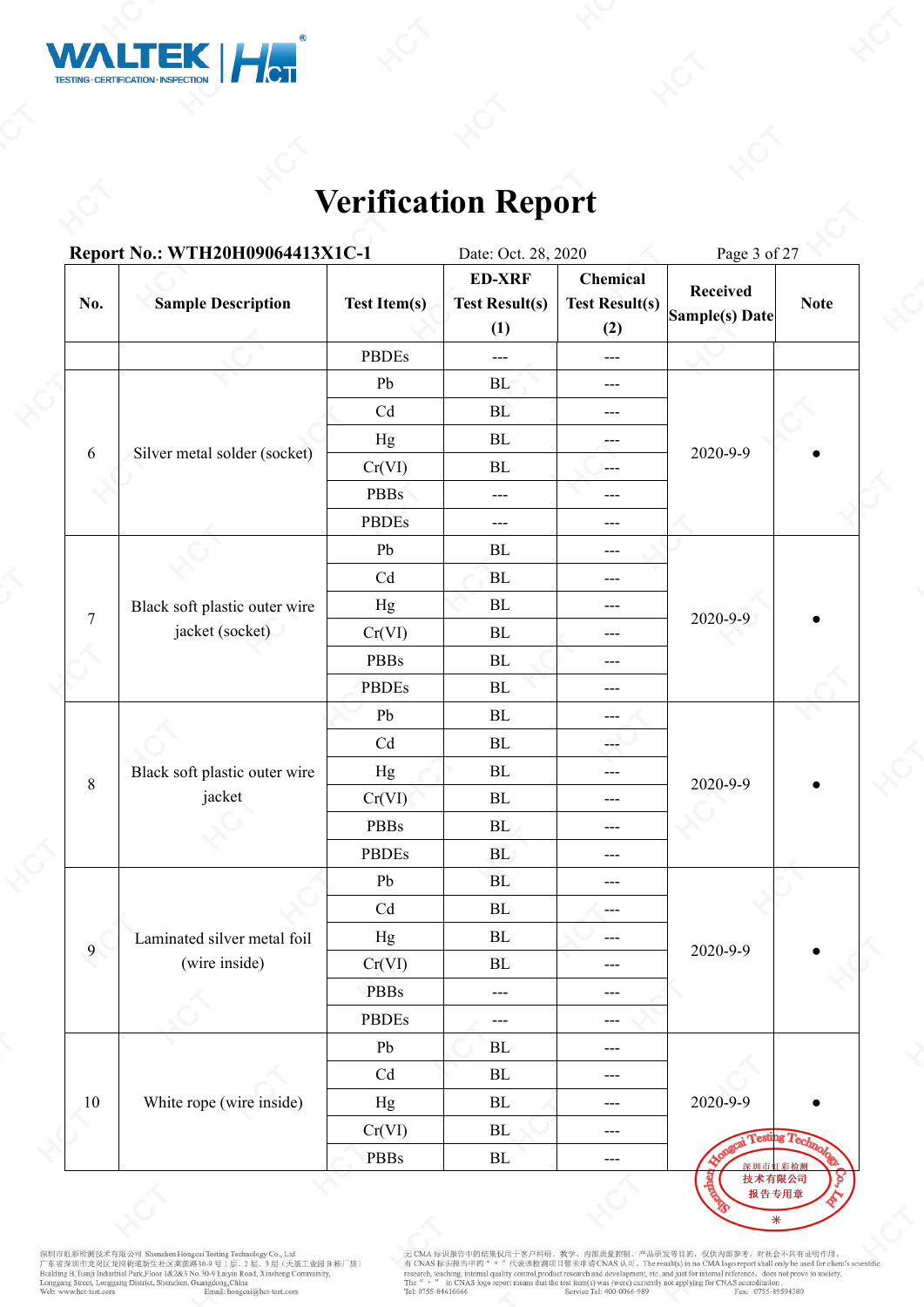

|                | Report No.: WTH20H09064413X1C-1 |                            | Date: Oct. 28, 2020                           |                                          | Page 3 of 27                               |             |  |
|----------------|---------------------------------|----------------------------|-----------------------------------------------|------------------------------------------|--------------------------------------------|-------------|--|
| No.            | <b>Sample Description</b>       | <b>Test Item(s)</b>        | <b>ED-XRF</b><br><b>Test Result(s)</b><br>(1) | Chemical<br><b>Test Result(s)</b><br>(2) | <b>Received</b><br>Sample(s) Date          | <b>Note</b> |  |
|                |                                 | <b>PBDEs</b>               | $---$                                         | $\qquad \qquad -$                        |                                            |             |  |
|                |                                 | Pb                         | BL                                            | $\qquad \qquad -$                        |                                            |             |  |
|                |                                 | Cd                         | BL                                            | $---$                                    |                                            |             |  |
|                |                                 | Hg                         | BL                                            | ---                                      |                                            |             |  |
| 6              | Silver metal solder (socket)    | Cr(VI)                     | BL                                            | ---                                      | 2020-9-9                                   |             |  |
|                |                                 | <b>PBBs</b>                | $---$                                         | ---                                      |                                            |             |  |
|                |                                 | <b>PBDEs</b>               | $---$                                         | $---$                                    |                                            |             |  |
|                |                                 | Pb                         | BL                                            | ---                                      |                                            |             |  |
|                |                                 | Cd                         | $\mathbf{BL}$                                 | ---                                      |                                            |             |  |
|                | Black soft plastic outer wire   | Hg                         | BL                                            | ---                                      |                                            |             |  |
| $\overline{7}$ | jacket (socket)                 | Cr(VI)                     | $\rm BL$                                      | ---                                      | 2020-9-9                                   |             |  |
|                |                                 | PBBs                       | ${\rm BL}$                                    | ---                                      |                                            |             |  |
|                |                                 | <b>PBDEs</b>               | ${\rm BL}$                                    | ---                                      |                                            |             |  |
|                |                                 | ${\rm Pb}$                 | $\rm BL$                                      | ---                                      |                                            |             |  |
|                |                                 | $\ensuremath{\mathrm{Cd}}$ | $\mathbf{BL}$                                 | ---                                      |                                            |             |  |
|                | Black soft plastic outer wire   | Hg                         | $\rm BL$                                      | $---$                                    |                                            |             |  |
| 8              | jacket                          | Cr(VI)                     | $\mathbf{BL}$                                 | $---$                                    | 2020-9-9                                   |             |  |
|                |                                 | PBBs                       | BL                                            | $---$                                    |                                            |             |  |
|                |                                 | <b>PBDEs</b>               | <b>BL</b>                                     | $---$                                    |                                            |             |  |
|                |                                 | Pb                         | BL                                            | $---$                                    |                                            |             |  |
|                |                                 | $\ensuremath{\mathrm{Cd}}$ | ${\rm BL}$                                    | $---$                                    |                                            |             |  |
|                | Laminated silver metal foil     | Hg                         | ${\bf BL}$                                    |                                          |                                            |             |  |
| $\overline{9}$ | (wire inside)                   | Cr(VI)                     | $\rm BL$                                      | $---$                                    | 2020-9-9                                   |             |  |
|                |                                 | <b>PBBs</b>                | $\qquad \qquad - -$                           | $---$                                    |                                            |             |  |
|                |                                 | <b>PBDEs</b>               | ---                                           | ---                                      |                                            |             |  |
|                |                                 | Pb                         | BL                                            | $---$                                    |                                            |             |  |
|                |                                 | Cd                         | BL                                            | $---$                                    |                                            |             |  |
| 10             | White rope (wire inside)        | Hg                         | BL                                            | $---$                                    | 2020-9-9                                   |             |  |
|                |                                 | Cr(VI)                     | BL                                            | $---$                                    |                                            |             |  |
|                |                                 | PBBs                       | ${\rm BL}$                                    | $\qquad \qquad - -$                      | <b>Appagai Testing Technole</b><br>深圳市虹彩检测 |             |  |

深圳市虹彩绘测技术有限公司 Shenzhen Hongcui Testing Technology Co., Ltd<br>广东省深圳市龙岗区龙岗街道新生社区莱茵路30-9 号 1层、2 层、3 层(天基工业园 B 栋厂房)<br>Building B.Tianji Industrial Park,Floor 1&2&3 No.30-9 Laiyin Road, Xinsheng Community,<br>Longgang Street, Longgan

无 CMA 标识报告中的结果仅用于客户科研、教学、内部质量控制、产品研发等目的, 仅供内部参考, 对社会不具有证明作用,<br>有 CNAS 标识报告中的" = "代表该检测项目暂未申请 CNAS 认可, The result(s) in no CMA logo report shall only be used for client's scientific<br>research, teaching, internal quality cont

2c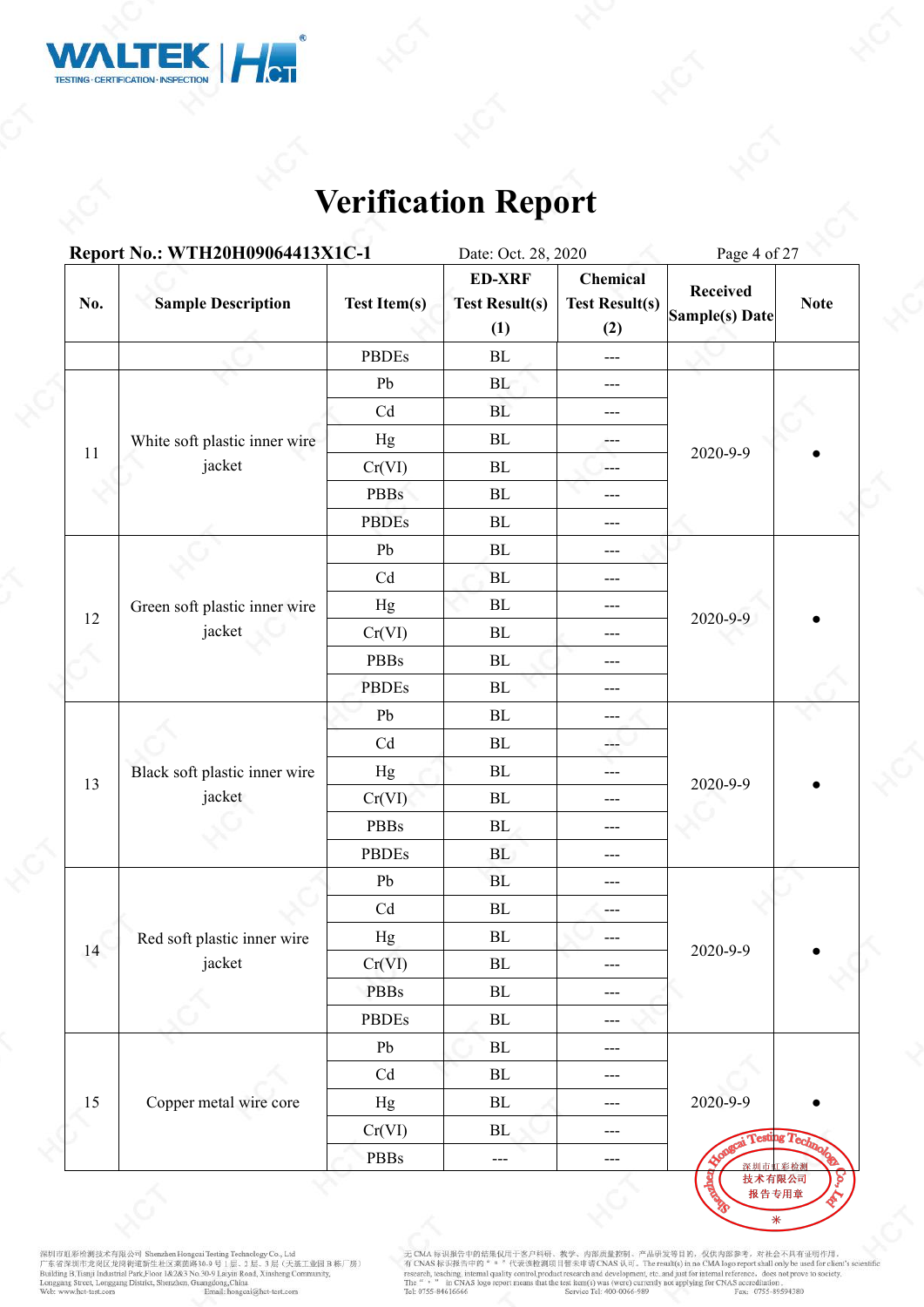

|                                    | Report No.: WTH20H09064413X1C-1 |                            | Date: Oct. 28, 2020                           |                                          | Page 4 of 27                      |             |  |
|------------------------------------|---------------------------------|----------------------------|-----------------------------------------------|------------------------------------------|-----------------------------------|-------------|--|
| No.                                | <b>Sample Description</b>       | <b>Test Item(s)</b>        | <b>ED-XRF</b><br><b>Test Result(s)</b><br>(1) | Chemical<br><b>Test Result(s)</b><br>(2) | <b>Received</b><br>Sample(s) Date | <b>Note</b> |  |
|                                    |                                 | <b>PBDEs</b>               | BL                                            | $\qquad \qquad -$                        |                                   |             |  |
|                                    |                                 | Pb                         | BL                                            | $\qquad \qquad - -$                      |                                   |             |  |
|                                    |                                 | Cd                         | BL                                            | $---$                                    |                                   |             |  |
|                                    | White soft plastic inner wire   | Hg                         | BL                                            | ---                                      |                                   |             |  |
|                                    | jacket                          | Cr(VI)                     | BL                                            | $\frac{1}{2}$                            | 2020-9-9                          |             |  |
|                                    |                                 | <b>PBBs</b>                | ${\bf BL}$                                    | ---                                      |                                   |             |  |
| 11<br>12<br>jacket<br>13<br>jacket |                                 | <b>PBDEs</b>               | ${\bf BL}$                                    | ---                                      |                                   |             |  |
|                                    |                                 | Pb                         | $\rm BL$                                      | ---                                      |                                   |             |  |
|                                    | Cd                              | BL                         | ---                                           |                                          |                                   |             |  |
|                                    | Green soft plastic inner wire   | Hg                         | BL                                            | ---                                      |                                   |             |  |
|                                    |                                 | Cr(VI)                     | $\rm BL$                                      | ---                                      | 2020-9-9                          |             |  |
|                                    |                                 | PBBs                       | ${\bf BL}$                                    | $---$                                    |                                   |             |  |
|                                    |                                 | <b>PBDEs</b>               | $\rm BL$                                      | ---                                      |                                   |             |  |
|                                    |                                 | ${\rm Pb}$                 | ${\bf BL}$                                    | $---$                                    |                                   |             |  |
|                                    |                                 | Cd                         | $\rm BL$                                      | ---                                      |                                   |             |  |
|                                    | Black soft plastic inner wire   | Hg                         | $\rm BL$                                      | ---                                      | 2020-9-9                          |             |  |
|                                    |                                 | Cr(VI)                     | $\rm BL$                                      | ---                                      |                                   |             |  |
|                                    |                                 | PBBs                       | BL                                            | ---                                      |                                   |             |  |
|                                    |                                 | <b>PBDEs</b>               | <b>BL</b>                                     | $---$                                    |                                   |             |  |
|                                    |                                 | Pb                         | ${\bf BL}$                                    | $---$                                    |                                   |             |  |
|                                    |                                 | $\ensuremath{\mathrm{Cd}}$ | ${\rm BL}$                                    | $---$                                    |                                   |             |  |
|                                    | Red soft plastic inner wire     | Hg                         | ${\bf BL}$                                    |                                          |                                   |             |  |
| 14                                 | jacket                          | Cr(VI)                     | $\rm BL$                                      | $---$                                    | 2020-9-9                          |             |  |
|                                    |                                 | <b>PBBs</b>                | $\rm BL$                                      | $---$                                    |                                   |             |  |
|                                    |                                 | PBDEs                      | ${\rm BL}$                                    | $---$                                    |                                   |             |  |
|                                    |                                 | Pb                         | $\rm BL$                                      | $---$                                    |                                   |             |  |
|                                    |                                 | Cd                         | ${\rm BL}$                                    | $---$                                    |                                   |             |  |
| 15                                 | Copper metal wire core          | Hg                         | ${\rm BL}$                                    | $\cdots$                                 | 2020-9-9                          |             |  |
|                                    |                                 | Cr(VI)                     | BL                                            | $\qquad \qquad - -$                      | Testing Technol                   |             |  |
|                                    |                                 | PBBs                       | ---                                           | $\cdots$                                 | 深圳市虹彩检测                           |             |  |

深圳市虹彩绘测技术有限公司 Shenzhen Hongcui Testing Technology Co., Ltd<br>广东省深圳市龙岗区龙岗街道新生社区莱茵路30-9 号 1层、2 层、3 层(天基工业园 B 栋厂房)<br>Building B.Tianji Industrial Park,Floor 1&2&3 No.30-9 Laiyin Road, Xinsheng Community,<br>Longgang Street, Longgan

无 CMA 标识报告中的结果仅用于客户科研、教学、内部质量控制、产品研发等目的, 仅供内部参考, 对社会不具有证明作用,<br>有 CNAS 标识报告中的" = "代表该检测项目暂未申请 CNAS 认可, The result(s) in no CMA logo report shall only be used for client's scientific<br>research, teaching, internal quality cont

2c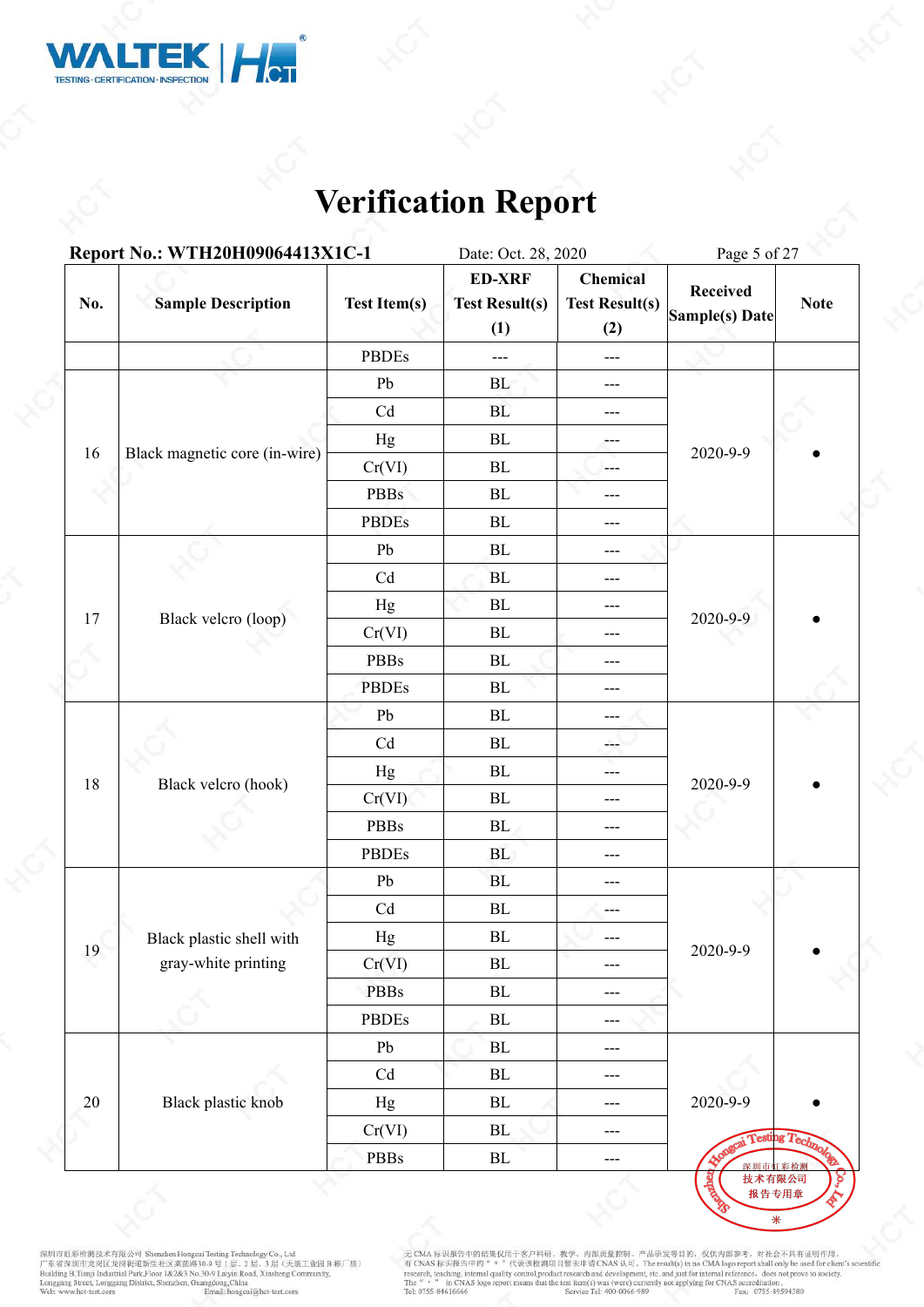

|                | Report No.: WTH20H09064413X1C-1                                             |                                                                                                                                                                                                                                                                                                                                                                                      | Date: Oct. 28, 2020                           |                                          | Page 5 of 27                               |             |  |
|----------------|-----------------------------------------------------------------------------|--------------------------------------------------------------------------------------------------------------------------------------------------------------------------------------------------------------------------------------------------------------------------------------------------------------------------------------------------------------------------------------|-----------------------------------------------|------------------------------------------|--------------------------------------------|-------------|--|
| No.            | <b>Sample Description</b>                                                   | <b>Test Item(s)</b>                                                                                                                                                                                                                                                                                                                                                                  | <b>ED-XRF</b><br><b>Test Result(s)</b><br>(1) | Chemical<br><b>Test Result(s)</b><br>(2) | <b>Received</b><br>Sample(s) Date          | <b>Note</b> |  |
|                |                                                                             | <b>PBDEs</b>                                                                                                                                                                                                                                                                                                                                                                         | ---                                           | $\scriptstyle\cdots$                     |                                            |             |  |
|                |                                                                             | Pb                                                                                                                                                                                                                                                                                                                                                                                   | BL                                            | $---$                                    |                                            |             |  |
|                |                                                                             | Cd                                                                                                                                                                                                                                                                                                                                                                                   | BL                                            | $---$                                    |                                            |             |  |
|                |                                                                             | Hg                                                                                                                                                                                                                                                                                                                                                                                   | BL                                            | ---                                      |                                            |             |  |
|                | Black magnetic core (in-wire)<br>Black velcro (loop)<br>Black velcro (hook) | Cr(VI)                                                                                                                                                                                                                                                                                                                                                                               | BL                                            | $---$                                    | 2020-9-9                                   |             |  |
|                |                                                                             | <b>PBBs</b><br>BL<br><b>PBDEs</b><br>BL<br>Pb<br>BL<br>Cd<br><b>BL</b><br>${\bf BL}$<br>Hg<br>Cr(VI)<br>$\rm BL$<br>PBBs<br>${\bf BL}$<br><b>PBDEs</b><br>$\rm BL$<br>Pb<br>${\bf BL}$<br>Cd<br>$\rm BL$<br>${\bf BL}$<br>Hg<br>Cr(VI)<br>$\rm BL$<br>PBBs<br>BL<br><b>PBDEs</b><br><b>BL</b><br>${\rm Pb}$<br><b>BL</b><br>Cd<br>${\bf BL}$<br>$\rm BL$<br>Hg<br>Cr(VI)<br>$\rm BL$ |                                               | $---$                                    |                                            |             |  |
|                |                                                                             |                                                                                                                                                                                                                                                                                                                                                                                      |                                               | $---$                                    |                                            |             |  |
| 16<br>17<br>18 |                                                                             |                                                                                                                                                                                                                                                                                                                                                                                      | ---                                           |                                          |                                            |             |  |
|                |                                                                             |                                                                                                                                                                                                                                                                                                                                                                                      |                                               | ---                                      |                                            |             |  |
|                |                                                                             |                                                                                                                                                                                                                                                                                                                                                                                      |                                               | ---                                      |                                            |             |  |
|                |                                                                             |                                                                                                                                                                                                                                                                                                                                                                                      |                                               | ---                                      | 2020-9-9                                   |             |  |
|                |                                                                             |                                                                                                                                                                                                                                                                                                                                                                                      |                                               | ---                                      |                                            |             |  |
|                |                                                                             |                                                                                                                                                                                                                                                                                                                                                                                      |                                               | ---                                      |                                            |             |  |
|                |                                                                             |                                                                                                                                                                                                                                                                                                                                                                                      |                                               | ---                                      |                                            |             |  |
|                |                                                                             |                                                                                                                                                                                                                                                                                                                                                                                      |                                               | ---                                      |                                            |             |  |
|                |                                                                             |                                                                                                                                                                                                                                                                                                                                                                                      |                                               | ---                                      | 2020-9-9                                   |             |  |
|                |                                                                             |                                                                                                                                                                                                                                                                                                                                                                                      |                                               | ---                                      |                                            |             |  |
|                |                                                                             |                                                                                                                                                                                                                                                                                                                                                                                      |                                               | $---$                                    |                                            |             |  |
|                |                                                                             |                                                                                                                                                                                                                                                                                                                                                                                      |                                               | ---                                      |                                            |             |  |
|                |                                                                             |                                                                                                                                                                                                                                                                                                                                                                                      |                                               | ---                                      |                                            |             |  |
|                |                                                                             |                                                                                                                                                                                                                                                                                                                                                                                      |                                               | $---$                                    |                                            |             |  |
|                | Black plastic shell with                                                    |                                                                                                                                                                                                                                                                                                                                                                                      |                                               |                                          | 2020-9-9                                   |             |  |
| 19             | gray-white printing                                                         |                                                                                                                                                                                                                                                                                                                                                                                      |                                               | $---$                                    |                                            |             |  |
|                |                                                                             | <b>PBBs</b>                                                                                                                                                                                                                                                                                                                                                                          | $\rm BL$                                      | $---$                                    |                                            |             |  |
|                |                                                                             | PBDEs                                                                                                                                                                                                                                                                                                                                                                                | $\rm BL$                                      | $---$                                    |                                            |             |  |
|                |                                                                             | Pb                                                                                                                                                                                                                                                                                                                                                                                   | $\rm BL$                                      | $\qquad \qquad - -$                      |                                            |             |  |
|                |                                                                             | Cd                                                                                                                                                                                                                                                                                                                                                                                   | $\rm BL$                                      | $---$                                    |                                            |             |  |
| 20             | Black plastic knob                                                          | Hg                                                                                                                                                                                                                                                                                                                                                                                   | $\rm BL$                                      | $---$                                    | 2020-9-9                                   |             |  |
|                |                                                                             | Cr(VI)                                                                                                                                                                                                                                                                                                                                                                               | BL                                            | $---$                                    |                                            |             |  |
|                |                                                                             | PBBs                                                                                                                                                                                                                                                                                                                                                                                 | ${\rm BL}$                                    | $\qquad \qquad - -$                      | <b>Appagai Testing Technole</b><br>深圳市虹彩检测 |             |  |

深圳市虹彩绘测技术有限公司 Shenzhen Hongcui Testing Technology Co., Ltd<br>广东省深圳市龙岗区龙岗街道新生社区莱茵路30-9 号 1层、2 层、3 层(天基工业园 B 栋厂房)<br>Building B.Tianji Industrial Park,Floor 1&2&3 No.30-9 Laiyin Road, Xinsheng Community,<br>Longgang Street, Longgan

无 CMA 标识报告中的结果仅用于客户科研、教学、内部质量控制、产品研发等目的, 仅供内部参考, 对社会不具有证明作用,<br>有 CNAS 标识报告中的" = "代表该检测项目暂未申请 CNAS 认可, The result(s) in no CMA logo report shall only be used for client's scientific<br>research, teaching, internal quality cont

2c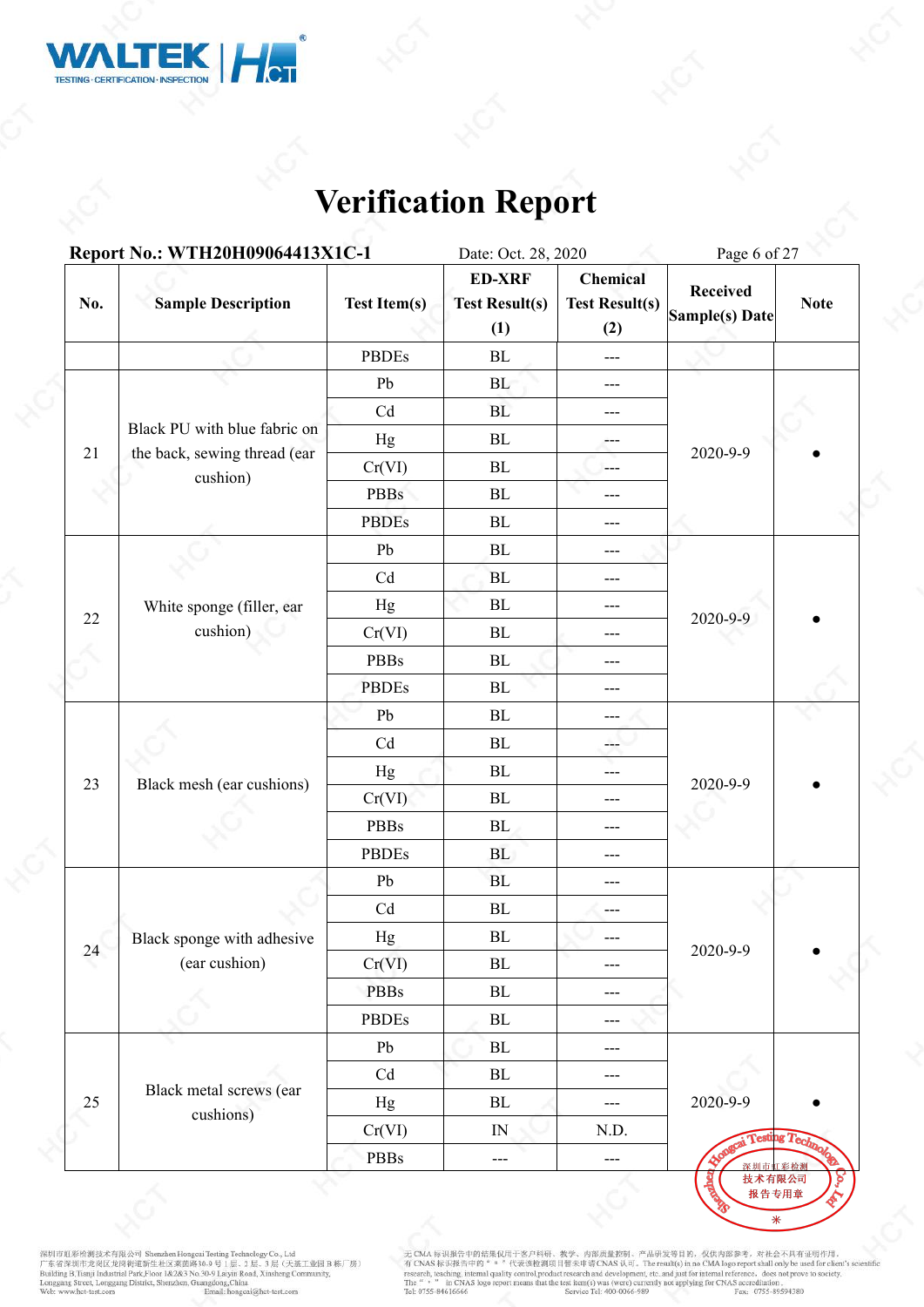

|                                                   | Report No.: WTH20H09064413X1C-1                              |                     | Date: Oct. 28, 2020                           |                                          | Page 6 of 27                      |             |  |
|---------------------------------------------------|--------------------------------------------------------------|---------------------|-----------------------------------------------|------------------------------------------|-----------------------------------|-------------|--|
| No.                                               | <b>Sample Description</b>                                    | <b>Test Item(s)</b> | <b>ED-XRF</b><br><b>Test Result(s)</b><br>(1) | Chemical<br><b>Test Result(s)</b><br>(2) | <b>Received</b><br>Sample(s) Date | <b>Note</b> |  |
|                                                   |                                                              | <b>PBDEs</b>        | BL                                            | $\qquad \qquad -$                        |                                   |             |  |
|                                                   |                                                              | Pb                  | BL                                            | $\qquad \qquad - -$                      |                                   |             |  |
|                                                   |                                                              | Cd                  | BL                                            | $---$                                    |                                   |             |  |
|                                                   | Black PU with blue fabric on<br>the back, sewing thread (ear | Hg                  | BL                                            | ---                                      |                                   |             |  |
| 21<br>22                                          |                                                              | Cr(VI)              | BL                                            | $\frac{1}{2}$                            | 2020-9-9                          |             |  |
|                                                   |                                                              | <b>PBBs</b>         | ${\bf BL}$                                    | ---                                      |                                   |             |  |
| cushion)<br>White sponge (filler, ear<br>cushion) | <b>PBDEs</b>                                                 | ${\bf BL}$          | $---$                                         |                                          |                                   |             |  |
|                                                   |                                                              | Pb                  | $\rm BL$                                      | ---                                      |                                   |             |  |
|                                                   |                                                              | Cd                  | BL                                            | $---$                                    |                                   |             |  |
|                                                   |                                                              | Hg                  | BL                                            | ---                                      |                                   |             |  |
|                                                   |                                                              | Cr(VI)              | BL                                            | $---$                                    | 2020-9-9                          |             |  |
|                                                   |                                                              | <b>PBBs</b>         | $\rm BL$                                      | $---$                                    |                                   |             |  |
|                                                   |                                                              | <b>PBDEs</b>        | $\mathbf{BL}$                                 | ---                                      |                                   |             |  |
|                                                   |                                                              | ${\rm Pb}$          | ${\bf BL}$                                    | $---$                                    |                                   |             |  |
|                                                   |                                                              | Cd                  | $\rm BL$                                      | ---                                      | 2020-9-9                          |             |  |
|                                                   |                                                              | Hg                  | BL                                            | ---                                      |                                   |             |  |
| 23                                                | Black mesh (ear cushions)                                    | Cr(VI)              | $\rm BL$                                      | $---$                                    |                                   |             |  |
|                                                   |                                                              | <b>PBBs</b>         | BL                                            | $---$                                    |                                   |             |  |
|                                                   |                                                              | <b>PBDEs</b>        | <b>BL</b>                                     | $---$                                    |                                   |             |  |
|                                                   |                                                              | Pb                  | BL                                            | $---$                                    |                                   |             |  |
|                                                   |                                                              | Cd                  | $\rm BL$                                      | ---                                      |                                   |             |  |
|                                                   | Black sponge with adhesive                                   | Hg                  | BL                                            |                                          | 2020-9-9                          |             |  |
| 24                                                | (ear cushion)                                                | Cr(VI)              | $\rm BL$                                      | $---$                                    |                                   |             |  |
|                                                   |                                                              | <b>PBBs</b>         | $\rm BL$                                      | $---$                                    |                                   |             |  |
|                                                   |                                                              | PBDEs               | $\rm BL$                                      | $---$                                    |                                   |             |  |
|                                                   |                                                              | Pb                  | $\rm BL$                                      | $---$                                    |                                   |             |  |
|                                                   | Black metal screws (ear                                      | Cd                  | BL                                            | $---$                                    |                                   |             |  |
| 25                                                | cushions)                                                    | Hg                  | $\rm BL$                                      | $\frac{1}{2}$                            | 2020-9-9                          |             |  |
|                                                   |                                                              | Cr(VI)              | IN                                            | N.D.                                     | Congrai Testing Technol           |             |  |
|                                                   |                                                              | <b>PBBs</b>         | ---                                           | $\cdots$                                 | 深圳市虹彩检测<br>技术有限公司                 |             |  |

深圳市虹彩绘测技术有限公司 Shenzhen Hongcui Testing Technology Co., Ltd<br>广东省深圳市龙岗区龙岗街道新生社区莱茵路30-9 号 1层、2 层、3 层(天基工业园 B 栋厂房)<br>Building B.Tianji Industrial Park,Floor 1&2&3 No.30-9 Laiyin Road, Xinsheng Community,<br>Longgang Street, Longgan

无 CMA 标识报告中的结果仅用于客户科研、教学、内部质量控制、产品研发等目的, 仅供内部参考, 对社会不具有证明作用,<br>有 CNAS 标识报告中的" = "代表该检测项目暂未申请 CNAS 认可, The result(s) in no CMA logo report shall only be used for client's scientific<br>research, teaching, internal quality cont

2c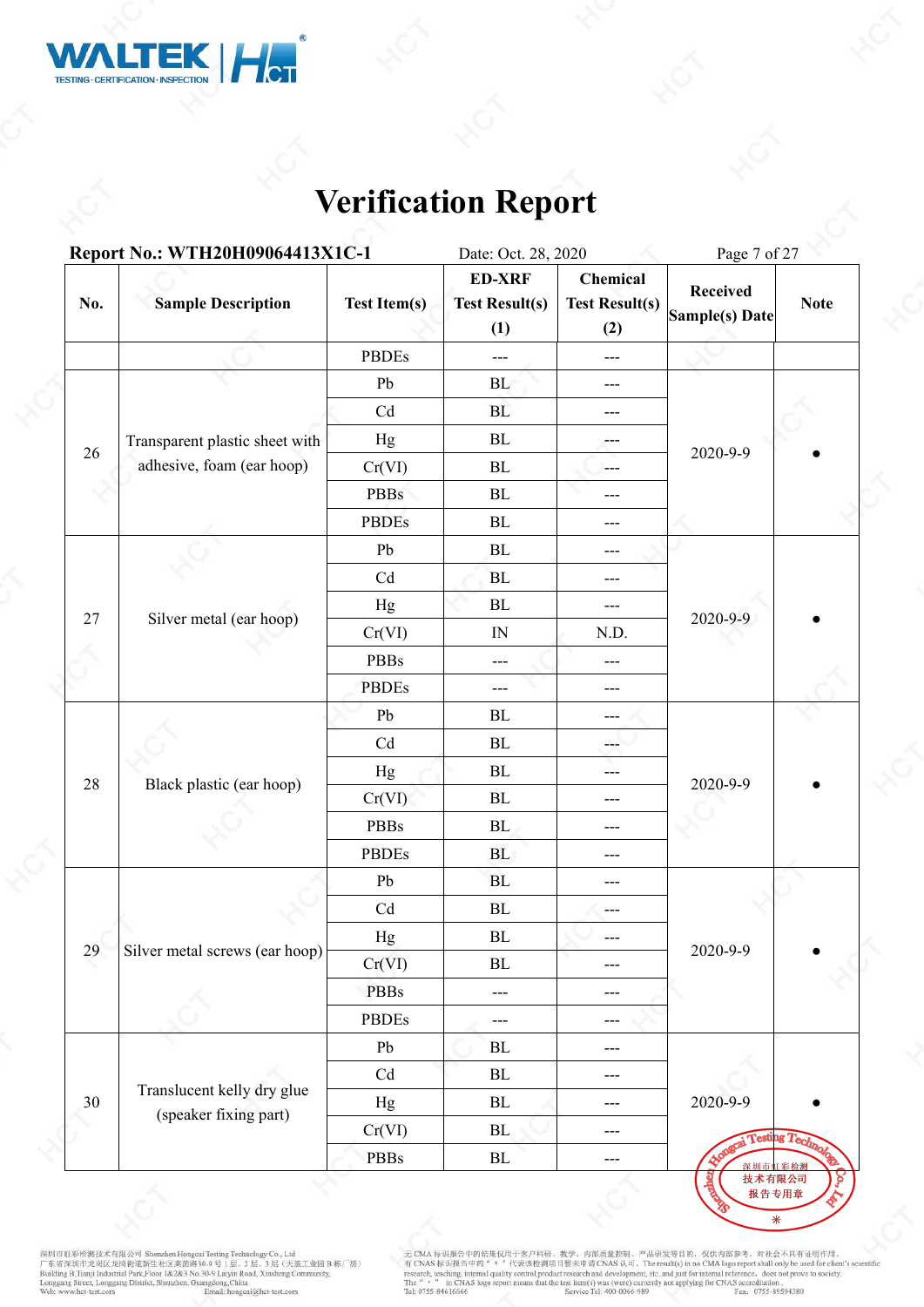

|        | Report No.: WTH20H09064413X1C-1                     |                                                                                                                                                                                                                                                                                                                                                   | Date: Oct. 28, 2020                           |                                          | Page 7 of 27                      |                    |
|--------|-----------------------------------------------------|---------------------------------------------------------------------------------------------------------------------------------------------------------------------------------------------------------------------------------------------------------------------------------------------------------------------------------------------------|-----------------------------------------------|------------------------------------------|-----------------------------------|--------------------|
| No.    | <b>Sample Description</b>                           | <b>Test Item(s)</b>                                                                                                                                                                                                                                                                                                                               | <b>ED-XRF</b><br><b>Test Result(s)</b><br>(1) | Chemical<br><b>Test Result(s)</b><br>(2) | <b>Received</b><br>Sample(s) Date | <b>Note</b>        |
|        |                                                     |                                                                                                                                                                                                                                                                                                                                                   | ---                                           | $\scriptstyle\cdots$                     |                                   |                    |
|        |                                                     |                                                                                                                                                                                                                                                                                                                                                   | BL                                            | $\qquad \qquad -$                        |                                   |                    |
|        |                                                     |                                                                                                                                                                                                                                                                                                                                                   | BL                                            | $---$                                    |                                   |                    |
|        | Transparent plastic sheet with                      |                                                                                                                                                                                                                                                                                                                                                   | BL                                            | $\qquad \qquad -$                        |                                   |                    |
| 26     | adhesive, foam (ear hoop)                           |                                                                                                                                                                                                                                                                                                                                                   | BL                                            | $\qquad \qquad -$                        | 2020-9-9                          |                    |
|        |                                                     | <b>PBDEs</b><br>Pb<br>Cd<br>Hg<br>Cr(VI)<br><b>PBBs</b><br><b>PBDEs</b><br>Pb<br>Cd<br>Hg<br>Cr(VI)<br>PBBs<br><b>PBDEs</b><br>Pb<br>Cd<br>Hg<br>Black plastic (ear hoop)<br>Cr(VI)<br>PBBs<br><b>PBDEs</b><br>${\rm Pb}$<br>$\ensuremath{\mathrm{Cd}}$<br>$_{\rm Hg}$<br>Silver metal screws (ear hoop)<br>Cr(VI)<br><b>PBBs</b><br><b>PBDEs</b> | BL                                            | $---$                                    |                                   |                    |
|        |                                                     | BL                                                                                                                                                                                                                                                                                                                                                | $\qquad \qquad - -$                           |                                          |                                   |                    |
|        |                                                     |                                                                                                                                                                                                                                                                                                                                                   | BL                                            | $---$                                    |                                   |                    |
|        |                                                     | BL                                                                                                                                                                                                                                                                                                                                                | $---$                                         |                                          |                                   |                    |
|        | Silver metal (ear hoop)                             |                                                                                                                                                                                                                                                                                                                                                   | ${\bf BL}$                                    | $\qquad \qquad - -$                      |                                   |                    |
| $27\,$ |                                                     |                                                                                                                                                                                                                                                                                                                                                   | $\mathbb{N}$                                  | N.D.                                     | 2020-9-9                          |                    |
|        |                                                     |                                                                                                                                                                                                                                                                                                                                                   | ---                                           | ---                                      |                                   |                    |
|        |                                                     |                                                                                                                                                                                                                                                                                                                                                   | ---                                           | ---                                      |                                   |                    |
|        |                                                     |                                                                                                                                                                                                                                                                                                                                                   | BL                                            | ---                                      |                                   |                    |
|        |                                                     |                                                                                                                                                                                                                                                                                                                                                   | BL                                            | ---                                      | 2020-9-9                          |                    |
| 28     |                                                     |                                                                                                                                                                                                                                                                                                                                                   | ${\rm BL}$                                    | $---$                                    |                                   |                    |
|        |                                                     |                                                                                                                                                                                                                                                                                                                                                   | $\rm BL$                                      | ---                                      |                                   |                    |
|        |                                                     |                                                                                                                                                                                                                                                                                                                                                   | BL                                            | $---$                                    |                                   |                    |
|        |                                                     |                                                                                                                                                                                                                                                                                                                                                   | BL                                            | $---$                                    |                                   |                    |
|        |                                                     |                                                                                                                                                                                                                                                                                                                                                   | BL                                            | $---$                                    |                                   |                    |
|        |                                                     |                                                                                                                                                                                                                                                                                                                                                   | $\rm BL$                                      | ---                                      |                                   |                    |
|        |                                                     |                                                                                                                                                                                                                                                                                                                                                   | $\rm BL$                                      |                                          |                                   |                    |
| 29     |                                                     |                                                                                                                                                                                                                                                                                                                                                   | $\rm BL$                                      | $---$                                    | 2020-9-9                          |                    |
|        |                                                     |                                                                                                                                                                                                                                                                                                                                                   | $---$                                         | $---$                                    |                                   |                    |
|        |                                                     |                                                                                                                                                                                                                                                                                                                                                   | ---                                           | $---$                                    |                                   |                    |
|        |                                                     | Pb                                                                                                                                                                                                                                                                                                                                                | $\rm BL$                                      | $\scriptstyle\cdots$                     |                                   |                    |
|        |                                                     | $\ensuremath{\mathrm{Cd}}$                                                                                                                                                                                                                                                                                                                        | $\rm BL$                                      | $---$                                    |                                   |                    |
| 30     | Translucent kelly dry glue<br>(speaker fixing part) | Hg                                                                                                                                                                                                                                                                                                                                                | $\rm BL$                                      | $\scriptstyle\cdots$                     | 2020-9-9                          |                    |
|        |                                                     | Cr(VI)                                                                                                                                                                                                                                                                                                                                            | BL                                            | $---$                                    |                                   | ai Testing Technol |
|        |                                                     | PBBs                                                                                                                                                                                                                                                                                                                                              | $\rm BL$                                      | ---                                      | 深圳市虹彩检测                           |                    |

深圳市虹彩绘测技术有限公司 Shenzhen Hongcui Testing Technology Co., Ltd<br>广东省深圳市龙岗区龙岗街道新生社区莱茵路30-9 号 1层、2 层、3 层(天基工业园 B 栋厂房)<br>Building B.Tianji Industrial Park,Floor 1&2&3 No.30-9 Laiyin Road, Xinsheng Community,<br>Longgang Street, Longgan

无 CMA 标识报告中的结果仅用于客户科研、教学、内部质量控制、产品研发等目的, 仅供内部参考, 对社会不具有证明作用,<br>有 CNAS 标识报告中的" = "代表该检测项目暂未申请 CNAS 认可, The result(s) in no CMA logo report shall only be used for client's scientific<br>research, teaching, internal quality cont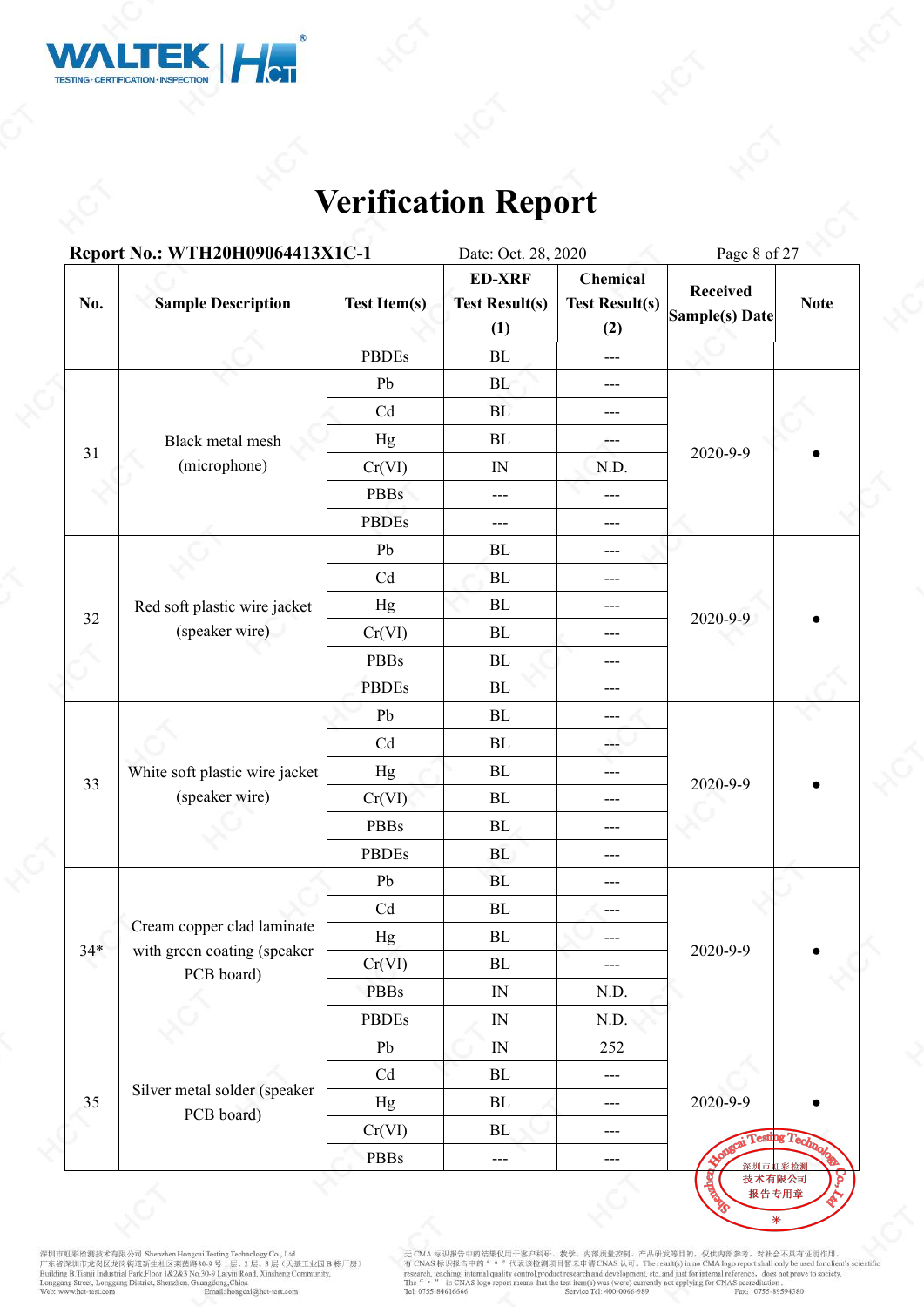

|                                                      | Report No.: WTH20H09064413X1C-1                           |                            | Date: Oct. 28, 2020                           |                                          | Page 8 of 27                      |                      |  |  |
|------------------------------------------------------|-----------------------------------------------------------|----------------------------|-----------------------------------------------|------------------------------------------|-----------------------------------|----------------------|--|--|
| No.                                                  | <b>Sample Description</b>                                 | <b>Test Item(s)</b>        | <b>ED-XRF</b><br><b>Test Result(s)</b><br>(1) | Chemical<br><b>Test Result(s)</b><br>(2) | <b>Received</b><br>Sample(s) Date | <b>Note</b>          |  |  |
|                                                      |                                                           | <b>PBDEs</b>               | BL                                            | $\qquad \qquad -$                        |                                   |                      |  |  |
|                                                      |                                                           | Pb                         | BL                                            | $\qquad \qquad -$                        |                                   |                      |  |  |
|                                                      |                                                           | Cd                         | BL                                            | $---$                                    |                                   |                      |  |  |
|                                                      | Black metal mesh                                          | Hg                         | BL                                            | ---                                      |                                   |                      |  |  |
| 31                                                   | (microphone)                                              | Cr(VI)                     | IN                                            | N.D.                                     | 2020-9-9                          |                      |  |  |
|                                                      |                                                           | <b>PBBs</b>                | ---                                           | ---                                      |                                   |                      |  |  |
| Red soft plastic wire jacket<br>32<br>(speaker wire) | <b>PBDEs</b>                                              | ---                        | $---$                                         |                                          |                                   |                      |  |  |
|                                                      |                                                           | Pb                         | $\rm BL$                                      | ---                                      |                                   |                      |  |  |
|                                                      |                                                           | Cd                         | BL                                            | $---$                                    |                                   |                      |  |  |
|                                                      |                                                           | Hg                         | BL                                            | ---                                      |                                   |                      |  |  |
|                                                      |                                                           | Cr(VI)                     | BL                                            | $---$                                    | 2020-9-9                          |                      |  |  |
|                                                      |                                                           | <b>PBBs</b>                | ${\rm BL}$                                    | $---$                                    |                                   |                      |  |  |
|                                                      |                                                           | <b>PBDEs</b>               | $\mathbf{BL}$                                 | ---                                      |                                   |                      |  |  |
|                                                      |                                                           | ${\rm Pb}$                 | ${\bf BL}$                                    | $---$                                    |                                   |                      |  |  |
|                                                      |                                                           | Cd                         | ${\bf BL}$                                    | ---                                      | 2020-9-9                          |                      |  |  |
|                                                      | White soft plastic wire jacket                            | Hg                         | ${\bf BL}$                                    | ---                                      |                                   |                      |  |  |
| 33                                                   | (speaker wire)                                            | Cr(VI)                     | ${\bf BL}$                                    | $---$                                    |                                   |                      |  |  |
|                                                      |                                                           | <b>PBBs</b>                | BL                                            | $---$                                    |                                   |                      |  |  |
|                                                      |                                                           | <b>PBDEs</b>               | <b>BL</b>                                     | $---$                                    |                                   |                      |  |  |
|                                                      |                                                           | Pb                         | <b>BL</b>                                     | $---$                                    |                                   |                      |  |  |
|                                                      |                                                           | $\ensuremath{\mathrm{Cd}}$ | ${\rm BL}$                                    | $---$                                    |                                   |                      |  |  |
| $34*$                                                | Cream copper clad laminate<br>with green coating (speaker | Hg                         | BL                                            |                                          | 2020-9-9                          |                      |  |  |
|                                                      | PCB board)                                                | Cr(VI)                     | $\rm BL$                                      | ---                                      |                                   |                      |  |  |
|                                                      |                                                           | <b>PBBs</b>                | $\ensuremath{\text{IN}}$                      | N.D.                                     |                                   |                      |  |  |
|                                                      |                                                           | <b>PBDEs</b>               | $\ensuremath{\text{IN}}$                      | N.D.                                     |                                   |                      |  |  |
|                                                      |                                                           | Pb                         | $\ensuremath{\text{IN}}$                      | 252                                      |                                   |                      |  |  |
|                                                      |                                                           | Cd                         | BL                                            | $\cdots$                                 |                                   |                      |  |  |
| 35                                                   | Silver metal solder (speaker<br>PCB board)                | Hg                         | BL                                            | $\cdots$                                 | 2020-9-9                          |                      |  |  |
|                                                      |                                                           | Cr(VI)                     | BL                                            | $---$                                    |                                   | <b>Testing Techn</b> |  |  |
|                                                      |                                                           | PBBs                       | ---                                           | $\scriptstyle\cdots$                     | 深圳市                               | 彩检测                  |  |  |

深圳市虹彩绘测技术有限公司 Shenzhen Hongcui Testing Technology Co., Ltd<br>广东省深圳市龙岗区龙岗街道新生社区莱茵路30-9 号 1层、2 层、3 层(天基工业园 B 栋厂房)<br>Building B.Tianji Industrial Park,Floor 1&2&3 No.30-9 Laiyin Road, Xinsheng Community,<br>Longgang Street, Longgan

无 CMA 标识报告中的结果仅用于客户科研、教学、内部质量控制、产品研发等目的, 仅供内部参考, 对社会不具有证明作用,<br>有 CNAS 标识报告中的" = "代表该检测项目暂未申请 CNAS 认可, The result(s) in no CMA logo report shall only be used for client's scientific<br>research, teaching, internal quality cont

2c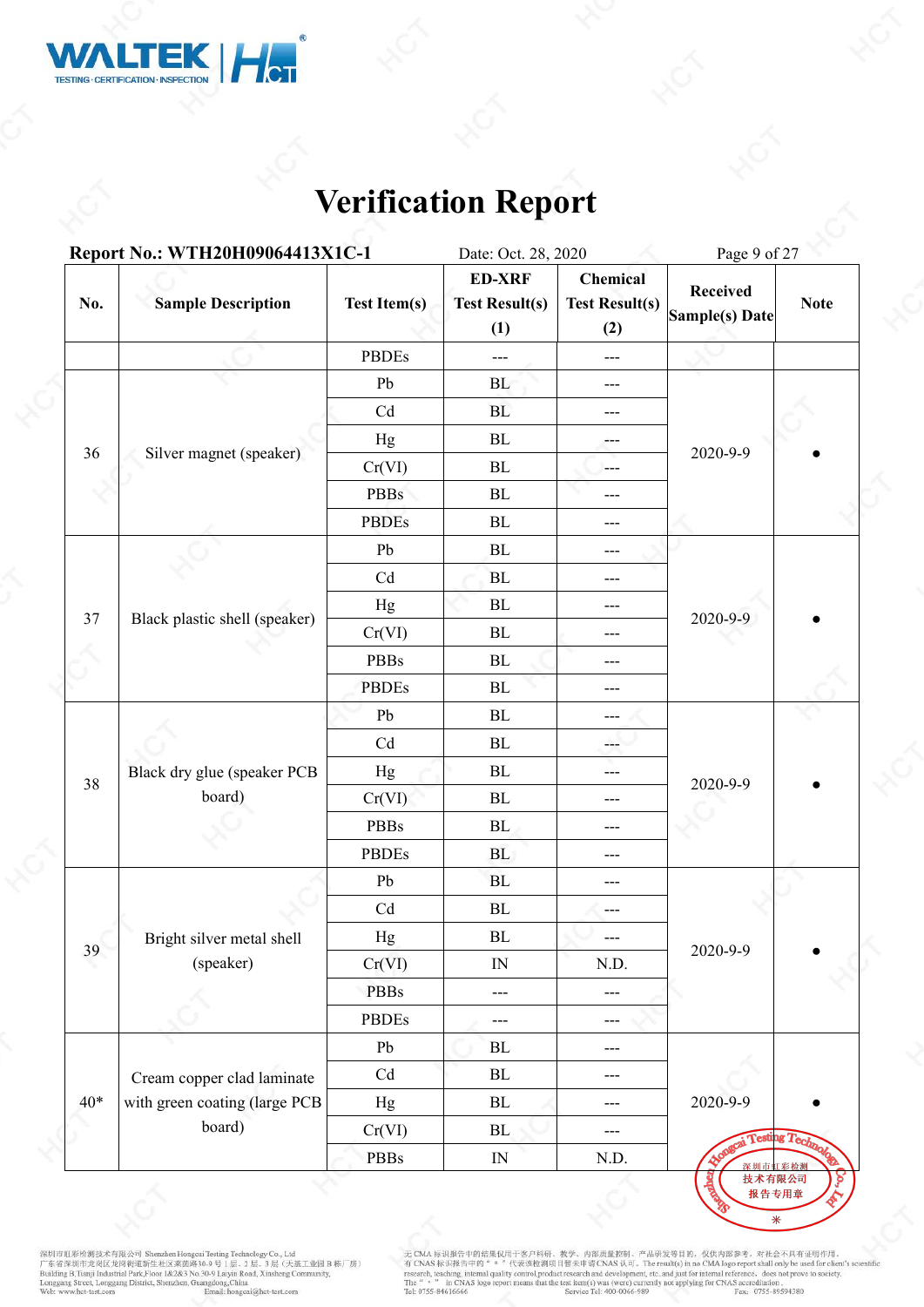

|       | Report No.: WTH20H09064413X1C-1 |                            | Date: Oct. 28, 2020                           |                                          | Page 9 of 27                      |                      |  |
|-------|---------------------------------|----------------------------|-----------------------------------------------|------------------------------------------|-----------------------------------|----------------------|--|
| No.   | <b>Sample Description</b>       | <b>Test Item(s)</b>        | <b>ED-XRF</b><br><b>Test Result(s)</b><br>(1) | Chemical<br><b>Test Result(s)</b><br>(2) | <b>Received</b><br>Sample(s) Date | <b>Note</b>          |  |
|       |                                 | <b>PBDEs</b>               | $---$                                         | $---$                                    |                                   |                      |  |
|       |                                 | Pb                         | BL                                            | $\qquad \qquad - -$                      |                                   |                      |  |
|       |                                 | Cd                         | BL                                            | ---                                      |                                   |                      |  |
|       |                                 | Hg                         | BL                                            | $---$                                    |                                   |                      |  |
| 36    | Silver magnet (speaker)         | Cr(VI)                     | BL                                            | $\frac{1}{2}$                            | 2020-9-9                          |                      |  |
|       |                                 | <b>PBBs</b>                | BL                                            | ---                                      |                                   |                      |  |
|       |                                 | <b>PBDEs</b>               | ${\bf BL}$                                    | ---                                      |                                   |                      |  |
|       |                                 | Pb                         | ${\rm BL}$                                    | ---                                      |                                   |                      |  |
|       |                                 | Cd                         | BL                                            | ---                                      |                                   |                      |  |
|       |                                 | Hg                         | BL                                            | ---                                      |                                   |                      |  |
| 37    | Black plastic shell (speaker)   | Cr(VI)                     | $\rm BL$                                      | $---$                                    | 2020-9-9                          |                      |  |
|       |                                 | PBBs                       | ${\bf BL}$                                    | $---$                                    |                                   |                      |  |
|       |                                 | <b>PBDEs</b>               | $\mathbf{BL}$                                 | ---                                      |                                   |                      |  |
|       |                                 | ${\rm Pb}$                 | ${\bf BL}$                                    | $---$                                    |                                   |                      |  |
|       |                                 | Cd                         | $\rm BL$                                      | ---                                      |                                   |                      |  |
|       | Black dry glue (speaker PCB     | Hg                         | ${\bf BL}$                                    | ---                                      |                                   |                      |  |
| 38    | board)                          | Cr(VI)                     | $\rm BL$                                      | ---                                      | 2020-9-9                          |                      |  |
|       |                                 | <b>PBBs</b>                | BL                                            | $---$                                    |                                   |                      |  |
|       |                                 | <b>PBDEs</b>               | <b>BL</b>                                     | ---                                      |                                   |                      |  |
|       |                                 | Pb                         | <b>BL</b>                                     | $---$                                    |                                   |                      |  |
|       |                                 | $\ensuremath{\mathrm{Cd}}$ | ${\rm BL}$                                    | $---$                                    |                                   |                      |  |
|       | Bright silver metal shell       | Hg                         | BL                                            |                                          | 2020-9-9                          |                      |  |
| 39    | (speaker)                       | Cr(VI)                     | $\ensuremath{\mathsf{IN}}$                    | N.D.                                     |                                   |                      |  |
|       |                                 | <b>PBBs</b>                | $---$                                         | $\qquad \qquad -$                        |                                   |                      |  |
|       |                                 | PBDEs                      | ---                                           | $---$                                    |                                   |                      |  |
|       |                                 | Pb                         | BL                                            | $---$                                    |                                   |                      |  |
|       | Cream copper clad laminate      | Cd                         | BL                                            | $---$                                    |                                   |                      |  |
| $40*$ | with green coating (large PCB   | Hg                         | BL                                            | $\cdots$                                 | 2020-9-9                          |                      |  |
|       | board)                          | Cr(VI)                     | BL                                            | $\cdots$                                 |                                   | <b>Testing Techn</b> |  |
|       |                                 | <b>PBBs</b>                | $\ensuremath{\text{IN}}$                      | N.D.                                     | 深圳市                               |                      |  |

深圳市虹彩绘测技术有限公司 Shenzhen Hongcui Testing Technology Co., Ltd<br>广东省深圳市龙岗区龙岗街道新生社区莱茵路30-9 号 1层、2 层、3 层(天基工业园 B 栋厂房)<br>Building B.Tianji Industrial Park,Floor 1&2&3 No.30-9 Laiyin Road, Xinsheng Community,<br>Longgang Street, Longgan

无 CMA 标识报告中的结果仅用于客户科研、教学、内部质量控制、产品研发等目的, 仅供内部参考, 对社会不具有证明作用,<br>有 CNAS 标识报告中的" = "代表该检测项目暂未申请 CNAS 认可, The result(s) in no CMA logo report shall only be used for client's scientific<br>research, teaching, internal quality cont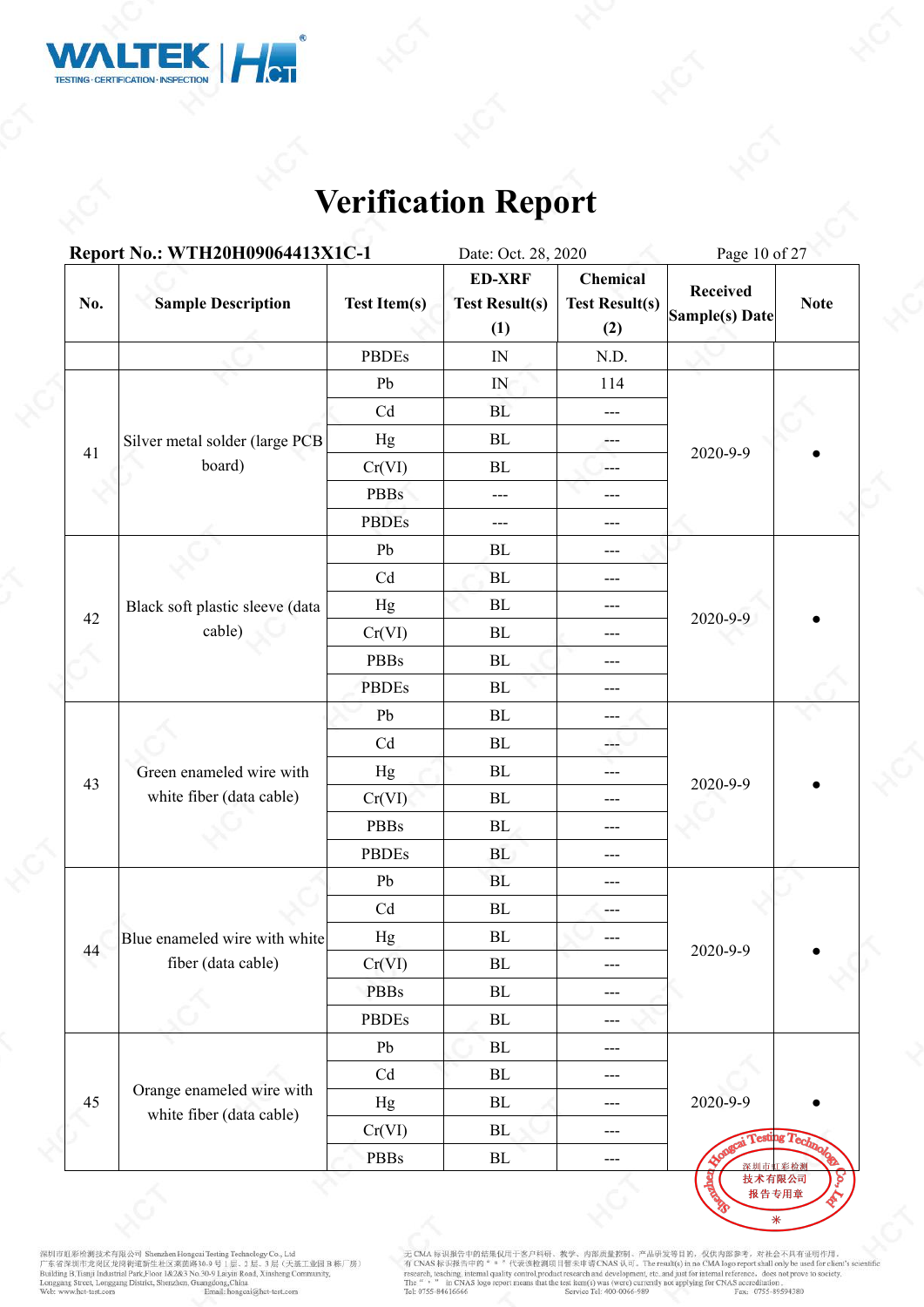

|     | Report No.: WTH20H09064413X1C-1                       |                     | Date: Oct. 28, 2020                           |                                          |                                                               |                        |  |
|-----|-------------------------------------------------------|---------------------|-----------------------------------------------|------------------------------------------|---------------------------------------------------------------|------------------------|--|
| No. | <b>Sample Description</b>                             | <b>Test Item(s)</b> | <b>ED-XRF</b><br><b>Test Result(s)</b><br>(1) | Chemical<br><b>Test Result(s)</b><br>(2) | <b>Received</b><br>Sample(s) Date                             | <b>Note</b>            |  |
|     |                                                       | <b>PBDEs</b>        | $\ensuremath{\mathsf{IN}}$                    | N.D.                                     |                                                               |                        |  |
|     |                                                       | Pb                  | ${\rm IN}$                                    | 114                                      |                                                               |                        |  |
|     |                                                       | Cd                  | BL                                            | $\cdots$                                 |                                                               |                        |  |
|     | Silver metal solder (large PCB                        | Hg                  | BL                                            | $\qquad \qquad -$                        |                                                               |                        |  |
| 41  | board)                                                | Cr(VI)              | BL                                            | $---$                                    |                                                               |                        |  |
|     |                                                       | <b>PBBs</b>         | ---                                           | $---$                                    | Page 10 of 27<br>2020-9-9<br>2020-9-9<br>2020-9-9<br>2020-9-9 |                        |  |
|     |                                                       | <b>PBDEs</b>        | ---                                           | $\qquad \qquad - -$                      |                                                               |                        |  |
|     |                                                       | Pb                  | BL                                            | $---$                                    |                                                               |                        |  |
| 42  |                                                       | Cd                  | BL                                            | ---                                      |                                                               |                        |  |
|     | Black soft plastic sleeve (data                       | Hg                  | $\rm BL$                                      | ---                                      |                                                               |                        |  |
|     | cable)                                                | Cr(VI)              | BL                                            | ---                                      |                                                               |                        |  |
|     |                                                       | <b>PBBs</b>         | BL                                            | ---                                      |                                                               |                        |  |
|     |                                                       | <b>PBDEs</b>        | BL                                            | $---$                                    |                                                               |                        |  |
|     |                                                       | Pb                  | BL                                            | $---$                                    |                                                               |                        |  |
|     |                                                       | Cd                  | $\rm BL$                                      | ---                                      |                                                               |                        |  |
| 43  | Green enameled wire with                              | Hg                  | BL                                            | ---                                      |                                                               |                        |  |
|     | white fiber (data cable)                              | Cr(VI)              | $\rm BL$                                      | ---                                      |                                                               |                        |  |
|     |                                                       | <b>PBBs</b>         | BL                                            | ---                                      |                                                               |                        |  |
|     |                                                       | <b>PBDEs</b>        | BL                                            | ---                                      |                                                               |                        |  |
|     |                                                       | Pb                  | BL                                            | $---$                                    |                                                               |                        |  |
|     |                                                       | Cd                  | $\rm BL$                                      | $---$                                    |                                                               |                        |  |
| 44  | Blue enameled wire with white                         | Hg                  | ${\bf BL}$                                    |                                          |                                                               |                        |  |
|     | fiber (data cable)                                    | Cr(VI)              | $\rm BL$                                      | $---$                                    |                                                               |                        |  |
|     |                                                       | <b>PBBs</b>         | $\rm BL$                                      | $---$                                    |                                                               |                        |  |
|     |                                                       | PBDEs               | $\rm BL$                                      | $---$                                    |                                                               |                        |  |
|     |                                                       | Pb                  | $\rm BL$                                      | $---$                                    |                                                               |                        |  |
|     |                                                       | Cd                  | $\rm BL$                                      | $---$                                    |                                                               |                        |  |
| 45  | Orange enameled wire with<br>white fiber (data cable) | Hg                  | $\rm BL$                                      | ---                                      | 2020-9-9                                                      |                        |  |
|     |                                                       | Cr(VI)              | BL                                            | $\qquad \qquad - -$                      |                                                               | <b>Testing Technol</b> |  |
|     |                                                       | <b>PBBs</b>         | ${\bf BL}$                                    | $---$                                    | 深圳市虹彩检测                                                       |                        |  |

深圳市虹彩绘测技术有限公司 Shenzhen Hongcui Testing Technology Co., Ltd<br>广东省深圳市龙岗区龙岗街道新生社区莱茵路30-9 号 1层、2 层、3 层(天基工业园 B 栋厂房)<br>Building B.Tianji Industrial Park,Floor 1&2&3 No.30-9 Laiyin Road, Xinsheng Community,<br>Longgang Street, Longgan

无 CMA 标识报告中的结果仅用于客户科研、教学、内部质量控制、产品研发等目的, 仅供内部参考, 对社会不具有证明作用,<br>有 CNAS 标识报告中的" = "代表该检测项目智未申请 CNAS 认可。The result(s) in no CMA logo report shall only be used for client's scient<br>research, teaching, internal paility control,p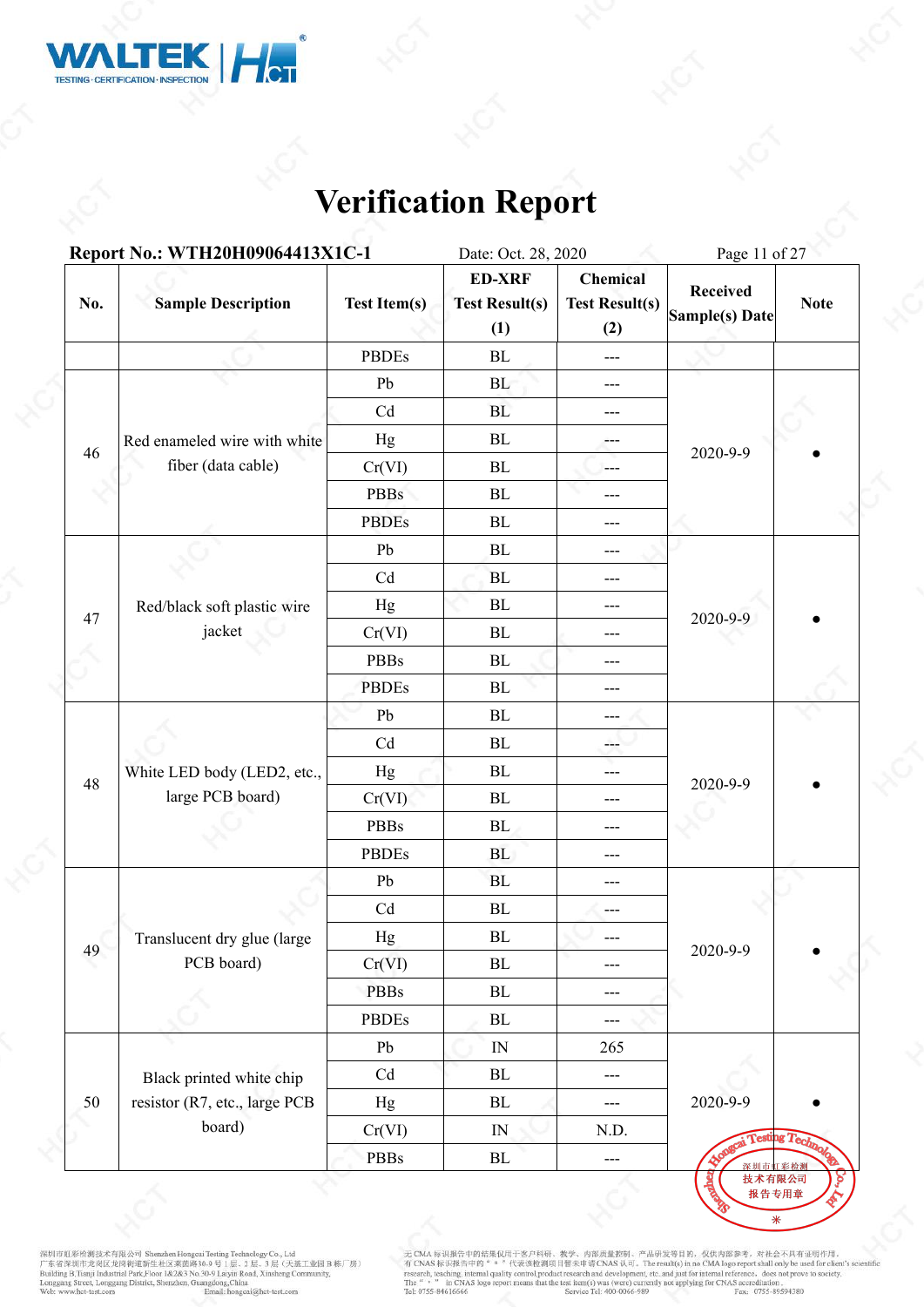

|     | Report No.: WTH20H09064413X1C-1         |                     | Date: Oct. 28, 2020                           |                                          | Page 11 of 27                     |             |  |
|-----|-----------------------------------------|---------------------|-----------------------------------------------|------------------------------------------|-----------------------------------|-------------|--|
| No. | <b>Sample Description</b>               | <b>Test Item(s)</b> | <b>ED-XRF</b><br><b>Test Result(s)</b><br>(1) | Chemical<br><b>Test Result(s)</b><br>(2) | <b>Received</b><br>Sample(s) Date | <b>Note</b> |  |
|     |                                         | <b>PBDEs</b>        | BL                                            | $\qquad \qquad -$                        |                                   |             |  |
|     |                                         | Pb                  | BL                                            | $\qquad \qquad -$                        |                                   |             |  |
|     |                                         | Cd                  | <b>BL</b>                                     | $---$                                    |                                   |             |  |
| 46  | Red enameled wire with white            | Hg                  | BL                                            | $---$                                    |                                   |             |  |
|     | fiber (data cable)                      | Cr(VI)              | BL                                            | ---                                      | 2020-9-9                          |             |  |
|     |                                         | <b>PBBs</b>         | $\rm BL$                                      | ---                                      |                                   |             |  |
|     |                                         | <b>PBDEs</b>        | $\rm BL$                                      | $---$                                    |                                   |             |  |
|     |                                         | Pb                  | BL                                            | ---                                      |                                   |             |  |
|     |                                         | Cd                  | BL                                            | ---                                      |                                   |             |  |
|     | Red/black soft plastic wire             | Hg                  | BL                                            | ---                                      |                                   |             |  |
| 47  | jacket                                  | Cr(VI)              | $\rm BL$                                      | ---                                      | 2020-9-9                          |             |  |
|     |                                         | PBBs                | ${\rm BL}$                                    | $---$                                    |                                   |             |  |
|     |                                         | <b>PBDEs</b>        | $\rm BL$                                      | ---                                      |                                   |             |  |
|     |                                         | ${\rm Pb}$          | $\rm BL$                                      | $---$                                    |                                   |             |  |
|     | White LED body (LED2, etc.,             | Cd                  | ${\rm BL}$                                    | ---                                      | 2020-9-9                          |             |  |
|     |                                         | Hg                  | $\rm BL$                                      | $---$                                    |                                   |             |  |
| 48  | large PCB board)                        | Cr(VI)              | $\rm BL$                                      | ---                                      |                                   |             |  |
|     |                                         | <b>PBBs</b>         | BL                                            | $---$                                    |                                   |             |  |
|     |                                         | <b>PBDEs</b>        | <b>BL</b>                                     | $---$                                    |                                   |             |  |
|     |                                         | Pb                  | BL                                            | $---$                                    |                                   |             |  |
|     |                                         | Cd                  | ${\rm BL}$                                    | ---                                      |                                   |             |  |
| 49  | Translucent dry glue (large             | Hg                  | BL                                            |                                          | 2020-9-9                          |             |  |
|     | PCB board)                              | Cr(VI)              | $\rm BL$                                      | $---$                                    |                                   |             |  |
|     |                                         | <b>PBBs</b>         | ${\rm BL}$                                    | $---$                                    |                                   |             |  |
|     |                                         | <b>PBDEs</b>        | $\rm BL$                                      | $\qquad \qquad - -$                      |                                   |             |  |
|     |                                         | Pb                  | IN                                            | 265                                      |                                   |             |  |
|     | Black printed white chip                | Cd                  | BL                                            | $\cdots$                                 |                                   |             |  |
| 50  | resistor (R7, etc., large PCB<br>board) | Hg                  | BL                                            | $\frac{1}{2}$                            | 2020-9-9                          |             |  |
|     |                                         | Cr(VI)              | $\hbox{IN}$                                   | N.D.                                     | Appgrai Testing Technol           |             |  |
|     |                                         | <b>PBBs</b>         | $\rm BL$                                      | $\overline{\phantom{a}}$                 | 深圳市                               | 彩检测         |  |

深圳市虹彩绘测技术有限公司 Shenzhen Hongcui Testing Technology Co., Ltd<br>广东省深圳市龙岗区龙岗街道新生社区莱茵路30-9 号 1层、2 层、3 层(天基工业园 B 栋厂房)<br>Building B.Tianji Industrial Park,Floor 1&2&3 No.30-9 Laiyin Road, Xinsheng Community,<br>Longgang Street, Longgan

无 CMA 标识报告中的结果仅用于客户科研、教学、内部质量控制、产品研发等目的, 仅供内部参考, 对社会不具有证明作用,<br>有 CNAS 标识报告中的" = "代表该检测项目暂未申请 CNAS 认可, The result(s) in no CMA logo report shall only be used for client's scientific<br>research, teaching, internal quality cont

报告专用章  $\overline{\ast}$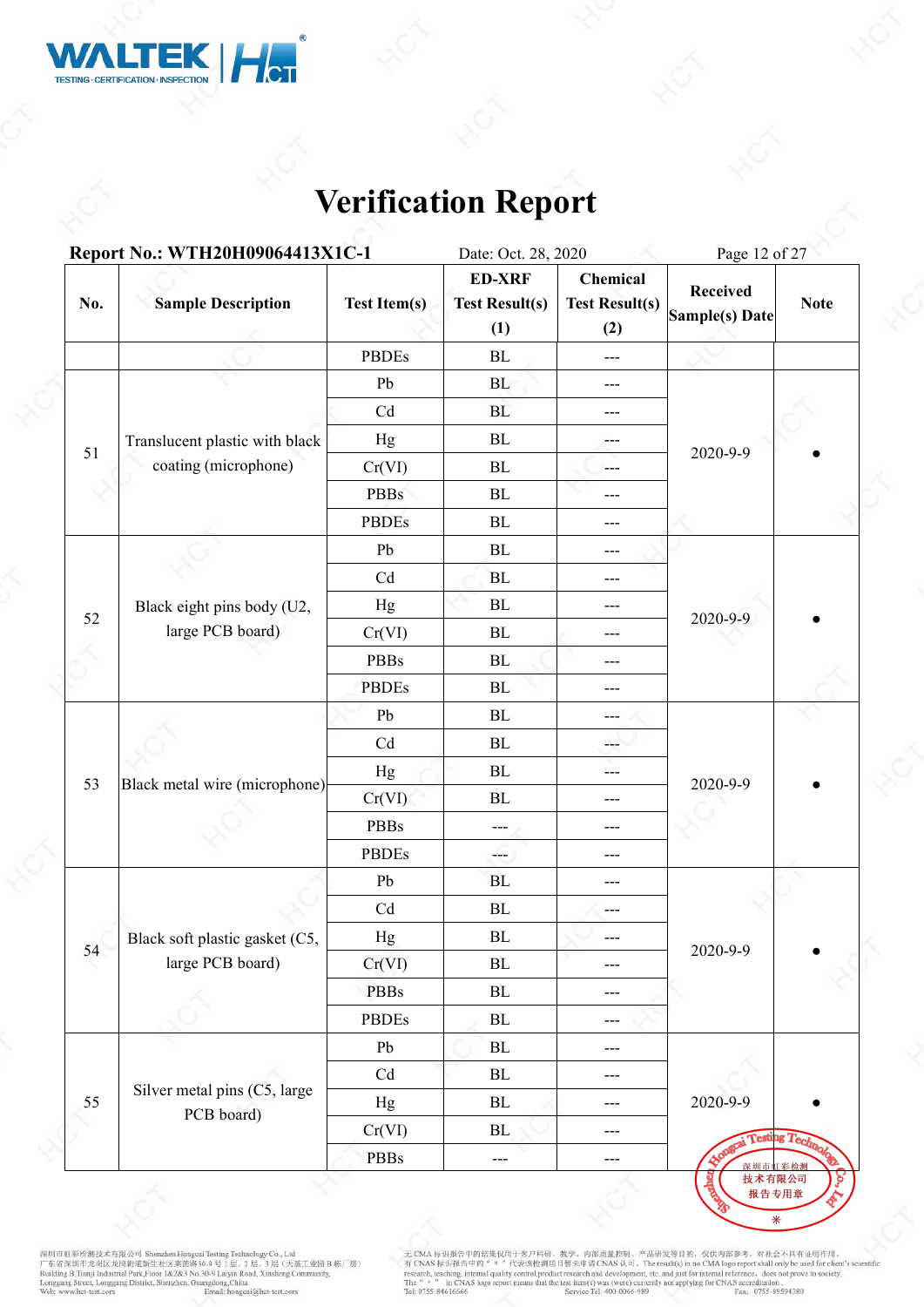

|     | Report No.: WTH20H09064413X1C-1 |                     | Date: Oct. 28, 2020                           |                                          | Page 12 of 27                     |             |  |
|-----|---------------------------------|---------------------|-----------------------------------------------|------------------------------------------|-----------------------------------|-------------|--|
| No. | <b>Sample Description</b>       | <b>Test Item(s)</b> | <b>ED-XRF</b><br><b>Test Result(s)</b><br>(1) | Chemical<br><b>Test Result(s)</b><br>(2) | <b>Received</b><br>Sample(s) Date | <b>Note</b> |  |
|     |                                 | <b>PBDEs</b>        | ${\bf BL}$                                    | $\scriptstyle\cdots$                     |                                   |             |  |
|     |                                 | Pb                  | BL                                            | $---$                                    |                                   |             |  |
|     | Translucent plastic with black  | Cd                  | BL                                            | $---$                                    |                                   |             |  |
|     |                                 | Hg                  | BL                                            | ---                                      |                                   |             |  |
| 51  | coating (microphone)            | Cr(VI)              | BL                                            | $---$                                    | 2020-9-9                          |             |  |
|     |                                 | <b>PBBs</b>         | BL                                            | ---                                      |                                   |             |  |
|     |                                 | <b>PBDEs</b>        | BL                                            | $\qquad \qquad - -$                      |                                   |             |  |
|     |                                 | Pb                  | BL                                            | ---                                      |                                   |             |  |
|     |                                 | Cd                  | BL                                            | ---                                      |                                   |             |  |
|     | Black eight pins body (U2,      | Hg                  | $\rm BL$                                      | ---                                      |                                   |             |  |
| 52  | large PCB board)                | Cr(VI)              | BL                                            | $---$                                    | 2020-9-9                          |             |  |
|     |                                 | PBBs                | BL                                            | ---                                      |                                   |             |  |
|     |                                 | <b>PBDEs</b>        | BL                                            | ---                                      |                                   |             |  |
|     | Black metal wire (microphone)   | Pb                  | BL                                            | $---$                                    |                                   |             |  |
|     |                                 | Cd                  | $\rm BL$                                      | ---                                      |                                   |             |  |
|     |                                 | Hg                  | ${\bf BL}$                                    | ---                                      |                                   |             |  |
| 53  |                                 | Cr(VI)              | BL                                            | ---                                      | 2020-9-9                          |             |  |
|     |                                 | <b>PBBs</b>         | ---                                           | ---                                      |                                   |             |  |
|     |                                 | <b>PBDEs</b>        | ---                                           | ---                                      |                                   |             |  |
|     |                                 | Pb                  | <b>BL</b>                                     | $---$                                    |                                   |             |  |
|     |                                 | Cd                  | ${\bf BL}$                                    | $---$                                    |                                   |             |  |
| 54  | Black soft plastic gasket (C5,  | Hg                  | $\rm BL$                                      |                                          | 2020-9-9                          |             |  |
|     | large PCB board)                | Cr(VI)              | ${\bf BL}$                                    | $---$                                    |                                   |             |  |
|     |                                 | <b>PBBs</b>         | $\rm BL$                                      | $---$                                    |                                   |             |  |
|     |                                 | <b>PBDEs</b>        | $\rm BL$                                      | ---                                      |                                   |             |  |
|     |                                 | Pb                  | $\rm BL$                                      | $---$                                    |                                   |             |  |
|     | Silver metal pins (C5, large    | Cd                  | $\rm BL$                                      | $---$                                    |                                   |             |  |
| 55  | PCB board)                      | Hg                  | BL                                            | $---$                                    | 2020-9-9                          |             |  |
|     |                                 | Cr(VI)              | BL                                            | $---$                                    | Profession Technol                |             |  |
|     |                                 | PBBs                | $\qquad \qquad - -$                           | $---$                                    | 深圳市虹彩检测<br>技术有限公司<br>बेळ          |             |  |

深圳市虹彩绘测技术有限公司 Shenzhen Hongcui Testing Technology Co., Ltd<br>广东省深圳市龙岗区龙岗街道新生社区莱茵路30-9 号 1层、2 层、3 层(天基工业园 B 栋厂房)<br>Building B.Tianji Industrial Park,Floor 1&2&3 No.30-9 Laiyin Road, Xinsheng Community,<br>Longgang Street, Longgan

无 CMA 标识报告中的结果仅用于客户科研、教学、内部质量控制、产品研发等目的, 仅供内部参考, 对社会不具有证明作用,<br>有 CNAS 标识报告中的" = "代表该检测项目智未申请 CNAS 认可。The result(s) in no CMA logo report shall only be used for client's scient<br>research, teaching, internal paility control,p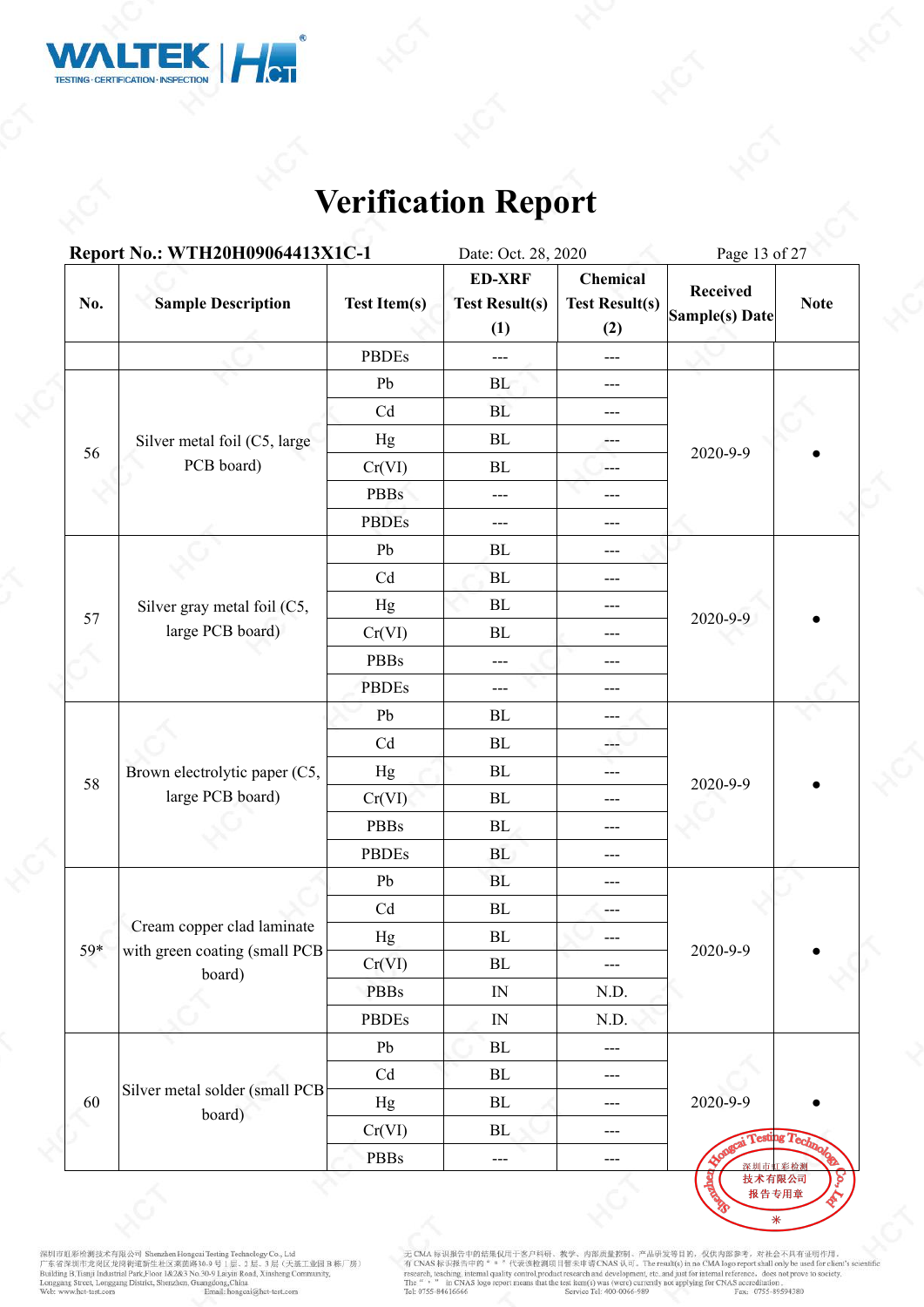

|     | Report No.: WTH20H09064413X1C-1                   |                     | Date: Oct. 28, 2020                           |                                          | Page 13 of 27                     |                        |  |
|-----|---------------------------------------------------|---------------------|-----------------------------------------------|------------------------------------------|-----------------------------------|------------------------|--|
| No. | <b>Sample Description</b>                         | <b>Test Item(s)</b> | <b>ED-XRF</b><br><b>Test Result(s)</b><br>(1) | Chemical<br><b>Test Result(s)</b><br>(2) | <b>Received</b><br>Sample(s) Date | <b>Note</b>            |  |
|     |                                                   | <b>PBDEs</b>        | ---                                           | $---$                                    |                                   |                        |  |
|     |                                                   | Pb                  | BL                                            | $---$                                    |                                   |                        |  |
|     |                                                   | Cd                  | BL                                            | $---$                                    |                                   |                        |  |
|     | Silver metal foil (C5, large                      | Hg                  | BL                                            | ---                                      |                                   |                        |  |
| 56  | PCB board)                                        | Cr(VI)              | BL                                            | $---$                                    | 2020-9-9                          |                        |  |
|     |                                                   | <b>PBBs</b>         | ---                                           | ---                                      |                                   |                        |  |
|     |                                                   | <b>PBDEs</b>        | ---                                           | $\qquad \qquad - -$                      |                                   |                        |  |
|     |                                                   | Pb                  | BL                                            | ---                                      |                                   |                        |  |
|     |                                                   | Cd                  | <b>BL</b>                                     | ---                                      | 2020-9-9                          |                        |  |
|     | Silver gray metal foil (C5,                       | Hg                  | ${\bf BL}$                                    | ---                                      |                                   |                        |  |
| 57  | large PCB board)                                  | Cr(VI)              | BL                                            | $---$                                    |                                   |                        |  |
|     |                                                   | <b>PBBs</b>         | ---                                           | ---                                      |                                   |                        |  |
|     |                                                   | <b>PBDEs</b>        | ---                                           | $---$                                    |                                   |                        |  |
|     | Brown electrolytic paper (C5,<br>large PCB board) | Pb                  | BL                                            | $---$                                    |                                   |                        |  |
|     |                                                   | Cd                  | ${\bf BL}$                                    | ---                                      |                                   |                        |  |
|     |                                                   | Hg                  | ${\bf BL}$                                    | ---                                      |                                   |                        |  |
|     |                                                   | Cr(VI)              | ${\bf BL}$                                    | ---                                      | 2020-9-9                          |                        |  |
|     |                                                   | <b>PBBs</b>         | BL                                            | ---                                      |                                   |                        |  |
|     |                                                   | <b>PBDEs</b>        | <b>BL</b>                                     | ---                                      |                                   |                        |  |
|     |                                                   | Pb                  | BL                                            | $---$                                    |                                   |                        |  |
|     |                                                   | Cd                  | ${\bf BL}$                                    | $---$                                    |                                   |                        |  |
|     | Cream copper clad laminate                        | Hg                  | ${\bf BL}$                                    |                                          |                                   |                        |  |
| 59* | with green coating (small PCB<br>board)           | Cr(VI)              | ${\bf BL}$                                    | $---$                                    | 2020-9-9                          |                        |  |
|     |                                                   | <b>PBBs</b>         | $\mathbb{N}$                                  | N.D.                                     |                                   |                        |  |
|     |                                                   | <b>PBDEs</b>        | $\ensuremath{\text{IN}}$                      | N.D.                                     |                                   |                        |  |
|     |                                                   | Pb                  | $\rm BL$                                      | $\qquad \qquad - -$                      |                                   |                        |  |
|     |                                                   | Cd                  | $\rm BL$                                      | $---$                                    |                                   |                        |  |
| 60  | Silver metal solder (small PCB<br>board)          | Hg                  | BL                                            | ---                                      | 2020-9-9                          |                        |  |
|     |                                                   | Cr(VI)              | BL                                            | $---$                                    |                                   | <b>Testing Technol</b> |  |
|     |                                                   | PBBs                | $\qquad \qquad - -$                           | $---$                                    | 深圳市虹彩检测                           |                        |  |

深圳市虹彩绘测技术有限公司 Shenzhen Hongcui Testing Technology Co., Ltd<br>广东省深圳市龙岗区龙岗街道新生社区莱茵路30-9 号 1层、2 层、3 层(天基工业园 B 栋厂房)<br>Building B.Tianji Industrial Park,Floor 1&2&3 No.30-9 Laiyin Road, Xinsheng Community,<br>Longgang Street, Longgan

无 CMA 标识报告中的结果仅用于客户科研、教学、内部质量控制、产品研发等目的, 仅供内部参考, 对社会不具有证明作用,<br>有 CNAS 标识报告中的" = "代表该检测项目智未申请 CNAS 认可。The result(s) in no CMA logo report shall only be used for client's scient<br>research, teaching, internal paility control,p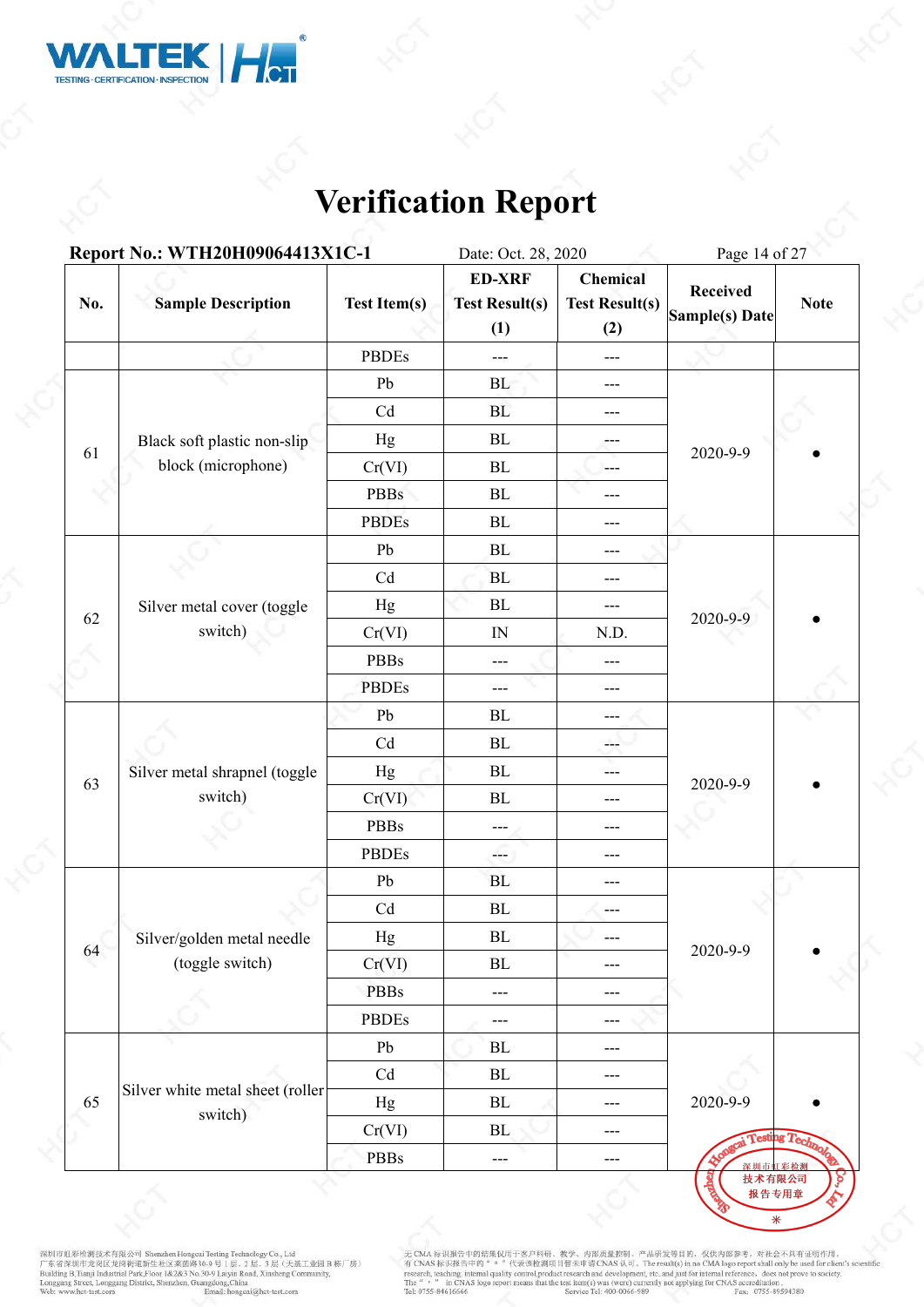

|     | Report No.: WTH20H09064413X1C-1             |                     | Date: Oct. 28, 2020                           |                                          | Page 14 of 27                     |             |  |
|-----|---------------------------------------------|---------------------|-----------------------------------------------|------------------------------------------|-----------------------------------|-------------|--|
| No. | <b>Sample Description</b>                   | <b>Test Item(s)</b> | <b>ED-XRF</b><br><b>Test Result(s)</b><br>(1) | Chemical<br><b>Test Result(s)</b><br>(2) | <b>Received</b><br>Sample(s) Date | <b>Note</b> |  |
|     |                                             | <b>PBDEs</b>        | $---$                                         | $\qquad \qquad -$                        |                                   |             |  |
|     |                                             | Pb                  | BL                                            | $\qquad \qquad - -$                      |                                   |             |  |
|     |                                             | Cd                  | BL                                            | $---$                                    |                                   |             |  |
|     | Black soft plastic non-slip                 | Hg                  | BL                                            | ---                                      |                                   |             |  |
| 61  | block (microphone)                          | Cr(VI)              | BL                                            | $\frac{1}{2}$                            | 2020-9-9                          |             |  |
|     |                                             | <b>PBBs</b>         | ${\bf BL}$                                    | ---                                      |                                   |             |  |
|     |                                             | <b>PBDEs</b>        | ${\bf BL}$                                    | ---                                      |                                   |             |  |
|     |                                             | Pb                  | $\rm BL$                                      | ---                                      |                                   |             |  |
|     |                                             | Cd                  | BL                                            | ---                                      |                                   |             |  |
|     | Silver metal cover (toggle                  | Hg                  | BL                                            | ---                                      |                                   |             |  |
| 62  | switch)                                     | Cr(VI)              | IN                                            | N.D.                                     | 2020-9-9                          |             |  |
|     |                                             | <b>PBBs</b>         | ---                                           | ---                                      |                                   |             |  |
|     |                                             | <b>PBDEs</b>        | ---                                           | ---                                      |                                   |             |  |
|     | Silver metal shrapnel (toggle               | ${\rm Pb}$          | ${\bf BL}$                                    | $---$                                    | 2020-9-9                          |             |  |
|     |                                             | Cd                  | $\rm BL$                                      | ---                                      |                                   |             |  |
|     |                                             | Hg                  | BL                                            | ---                                      |                                   |             |  |
| 63  | switch)                                     | Cr(VI)              | $\rm BL$                                      | ---                                      |                                   |             |  |
|     |                                             | <b>PBBs</b>         | ---                                           | $---$                                    |                                   |             |  |
|     |                                             | <b>PBDEs</b>        | ---                                           | $---$                                    |                                   |             |  |
|     |                                             | Pb                  | <b>BL</b>                                     | $---$                                    |                                   |             |  |
|     |                                             | Cd                  | $\rm BL$                                      | ---                                      |                                   |             |  |
|     | Silver/golden metal needle                  | Hg                  | BL                                            |                                          |                                   |             |  |
| 64  | (toggle switch)                             | Cr(VI)              | $\rm BL$                                      | $---$                                    | 2020-9-9                          |             |  |
|     |                                             | <b>PBBs</b>         | ---                                           | ---                                      |                                   |             |  |
|     |                                             | <b>PBDEs</b>        | ---                                           | ---                                      |                                   |             |  |
|     |                                             | Pb                  | BL                                            | ---                                      |                                   |             |  |
|     |                                             | Cd                  | BL                                            | $---$                                    |                                   |             |  |
| 65  | Silver white metal sheet (roller<br>switch) | Hg                  | BL                                            | $---$                                    | 2020-9-9                          |             |  |
|     |                                             | Cr(VI)              | BL                                            | $\qquad \qquad - -$                      | <b>Appaged Testing Technols</b>   |             |  |
|     |                                             | PBBs                | ---                                           | $---$                                    | 深圳市虹                              | 彩检测         |  |

深圳市虹彩绘测技术有限公司 Shenzhen Hongcui Testing Technology Co., Ltd<br>广东省深圳市龙岗区龙岗街道新生社区莱茵路30-9 号 1层、2 层、3 层(天基工业园 B 栋厂房)<br>Building B.Tianji Industrial Park,Floor 1&2&3 No.30-9 Laiyin Road, Xinsheng Community,<br>Longgang Street, Longgan

无 CMA 标识报告中的结果仅用于客户科研、教学、内部质量控制、产品研发等目的, 仅供内部参考, 对社会不具有证明作用,<br>有 CNAS 标识报告中的" = "代表该检测项目暂未申请 CNAS 认可, The result(s) in no CMA logo report shall only be used for client's scientific<br>research, teaching, internal quality cont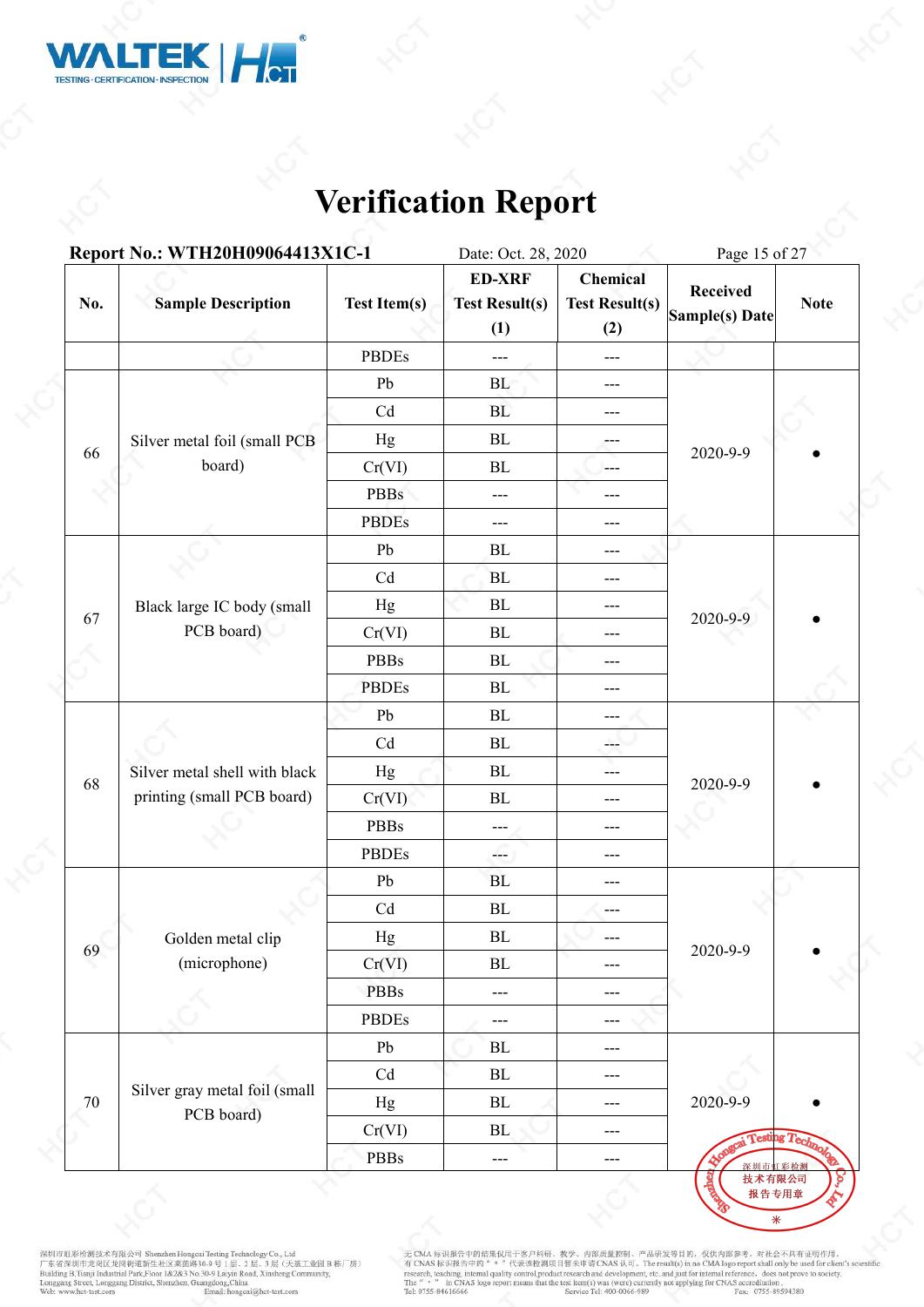

|     | Report No.: WTH20H09064413X1C-1             |                            | Date: Oct. 28, 2020                           |                                          | Page 15 of 27                     |                    |
|-----|---------------------------------------------|----------------------------|-----------------------------------------------|------------------------------------------|-----------------------------------|--------------------|
| No. | <b>Sample Description</b>                   | <b>Test Item(s)</b>        | <b>ED-XRF</b><br><b>Test Result(s)</b><br>(1) | Chemical<br><b>Test Result(s)</b><br>(2) | <b>Received</b><br>Sample(s) Date | <b>Note</b>        |
|     |                                             | <b>PBDEs</b>               | ---                                           | $\scriptstyle\cdots$                     |                                   |                    |
|     |                                             | Pb                         | BL                                            | $---$                                    |                                   |                    |
|     |                                             | Cd                         | BL                                            | $---$                                    |                                   |                    |
|     | Silver metal foil (small PCB                | Hg                         | BL                                            | ---                                      |                                   |                    |
| 66  | board)                                      | Cr(VI)                     | BL                                            | $\qquad \qquad -$                        | 2020-9-9                          |                    |
|     |                                             | <b>PBBs</b>                | ---                                           | $---$                                    |                                   |                    |
|     |                                             | <b>PBDEs</b>               | ---                                           | $\qquad \qquad - -$                      |                                   |                    |
|     |                                             | Pb                         | BL                                            | $---$                                    |                                   |                    |
|     |                                             | Cd                         | BL                                            | $---$                                    |                                   |                    |
|     | Black large IC body (small                  | Hg                         | ${\bf BL}$                                    | ---                                      | 2020-9-9                          |                    |
| 67  | PCB board)                                  | Cr(VI)                     | BL                                            | ---                                      |                                   |                    |
|     |                                             | <b>PBBs</b>                | ${\rm BL}$                                    | ---                                      |                                   |                    |
|     |                                             | <b>PBDEs</b>               | BL                                            | ---                                      |                                   |                    |
|     |                                             | Pb                         | BL                                            | ---                                      |                                   |                    |
|     | Silver metal shell with black               | Cd                         | BL                                            | ---                                      | 2020-9-9                          |                    |
| 68  |                                             | Hg                         | $\rm BL$                                      | $---$                                    |                                   |                    |
|     | printing (small PCB board)                  | Cr(VI)                     | $\rm BL$                                      | ---                                      |                                   |                    |
|     |                                             | PBBs                       | ---                                           | $---$                                    |                                   |                    |
|     |                                             | <b>PBDEs</b>               | ---                                           | $---$                                    |                                   |                    |
|     |                                             | ${\rm Pb}$                 | BL                                            | ---                                      |                                   |                    |
|     |                                             | $\ensuremath{\mathrm{Cd}}$ | $\rm BL$                                      | ---                                      |                                   |                    |
|     | Golden metal clip                           | Hg                         | $\rm BL$                                      |                                          |                                   |                    |
| 69  | (microphone)                                | Cr(VI)                     | ${\bf BL}$                                    | $---$                                    | 2020-9-9                          |                    |
|     |                                             | <b>PBBs</b>                | $---$                                         | $---$                                    |                                   |                    |
|     |                                             | <b>PBDEs</b>               | ---                                           | $---$                                    |                                   |                    |
|     |                                             | Pb                         | $\rm BL$                                      | $\scriptstyle\cdots$                     |                                   |                    |
|     |                                             | Cd                         | $\rm BL$                                      | $---$                                    |                                   |                    |
|     | Silver gray metal foil (small<br>PCB board) | Hg                         | $\rm BL$                                      | $\scriptstyle\cdots$                     | 2020-9-9                          |                    |
| 70  |                                             | Cr(VI)                     | BL                                            | $---$                                    |                                   | ai Testing Technol |
|     |                                             | PBBs                       | ---                                           | $---$                                    | 深圳市虹彩检测                           |                    |

深圳市虹彩绘测技术有限公司 Shenzhen Hongcui Testing Technology Co., Ltd<br>广东省深圳市龙岗区龙岗街道新生社区莱茵路30-9 号 1层、2 层、3 层(天基工业园 B 栋厂房)<br>Building B.Tianji Industrial Park,Floor 1&2&3 No.30-9 Laiyin Road, Xinsheng Community,<br>Longgang Street, Longgan

无 CMA 标识报告中的结果仅用于客户科研、教学、内部质量控制、产品研发等目的, 仅供内部参考, 对社会不具有证明作用,<br>有 CNAS 标识报告中的" = "代表该检测项目智未申请 CNAS 认可。The result(s) in no CMA logo report shall only be used for client's scient<br>research, teaching, internal paility control,p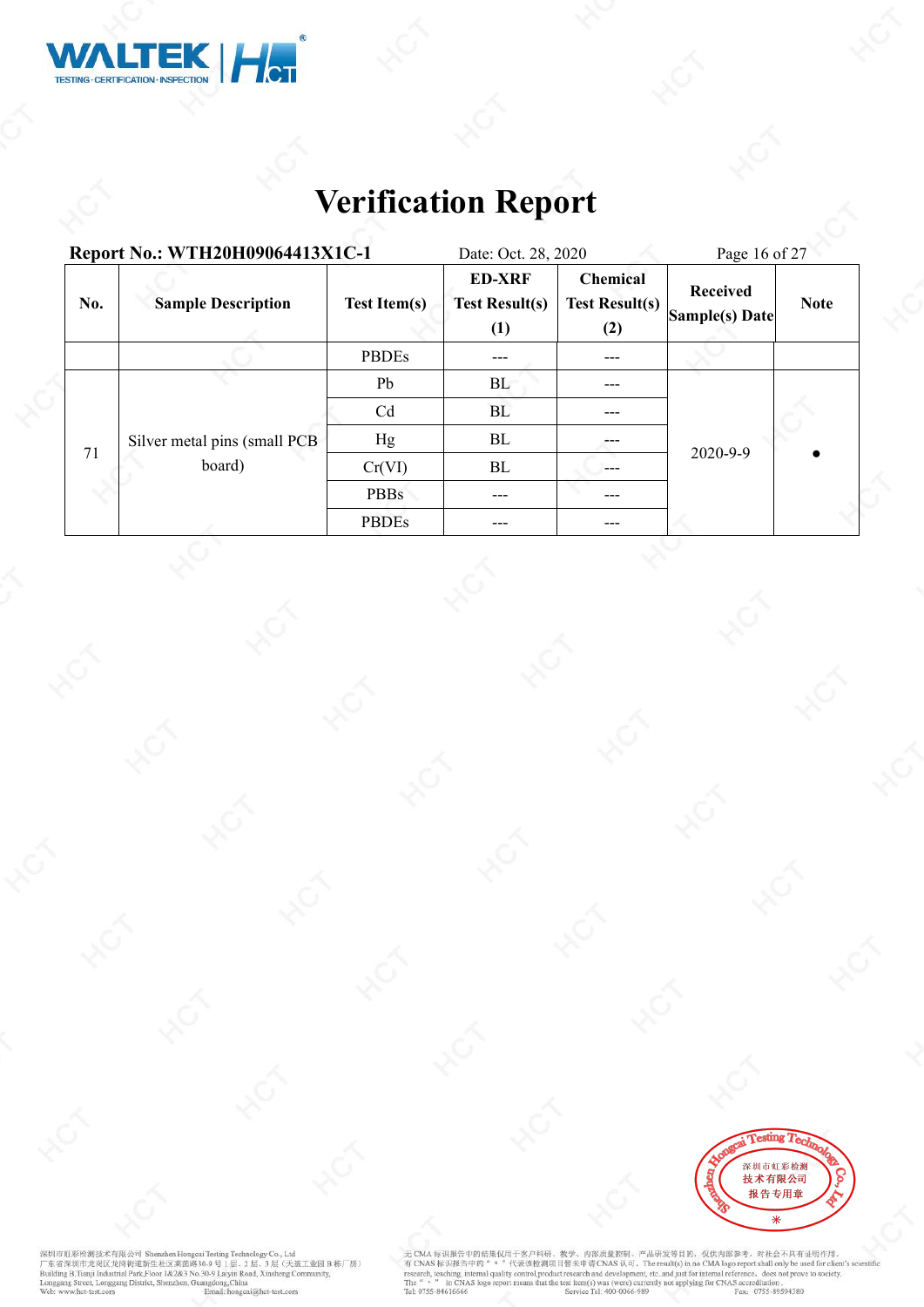

| Report No.: WTH20H09064413X1C-1 |                              |                     | Date: Oct. 28, 2020                           |                                                 | Page 16 of 27                     |             |  |
|---------------------------------|------------------------------|---------------------|-----------------------------------------------|-------------------------------------------------|-----------------------------------|-------------|--|
| No.                             | <b>Sample Description</b>    | <b>Test Item(s)</b> | <b>ED-XRF</b><br><b>Test Result(s)</b><br>(1) | <b>Chemical</b><br><b>Test Result(s)</b><br>(2) | <b>Received</b><br>Sample(s) Date | <b>Note</b> |  |
|                                 |                              | <b>PBDEs</b>        | ---                                           | ---                                             |                                   |             |  |
|                                 |                              | Pb                  | BL                                            | ---                                             | 2020-9-9                          |             |  |
|                                 |                              | Cd                  | BL                                            | ---                                             |                                   |             |  |
|                                 | Silver metal pins (small PCB | Hg                  | BL                                            | ---                                             |                                   |             |  |
| 71                              | board)                       | Cr(VI)              | BL                                            | ---                                             |                                   |             |  |
|                                 |                              | <b>PBBs</b>         | $---$                                         | ---                                             |                                   |             |  |
|                                 |                              | <b>PBDEs</b>        | ---                                           | ---                                             |                                   |             |  |



深圳市虹彩绘测技术有限公司 Shenzhen Hongcui Testing Technology Co., Ltd<br>广东省深圳市龙岗区龙岗街道新生社区莱茵路30-9 号 1层、2 层、3 层(天基工业园 B 栋厂房)<br>Building B.Tianji Industrial Park,Floor 1&2&3 No.30-9 Laiyin Road, Xinsheng Community,<br>Longgang Street, Longgan

无 CMA 标识报告中的结果仅用于客户科研、教学、内部质量控制、产品研发等目的, 仅供内部参考, 对社会不具有证明作用,<br>有 CNAS 标识报告中的 " \* "代表该检测项目暂未申请 CNAS 认可。The result(s) in no CMA logo report shall only be used for client's scientific<br>research, teaching, internal quality cont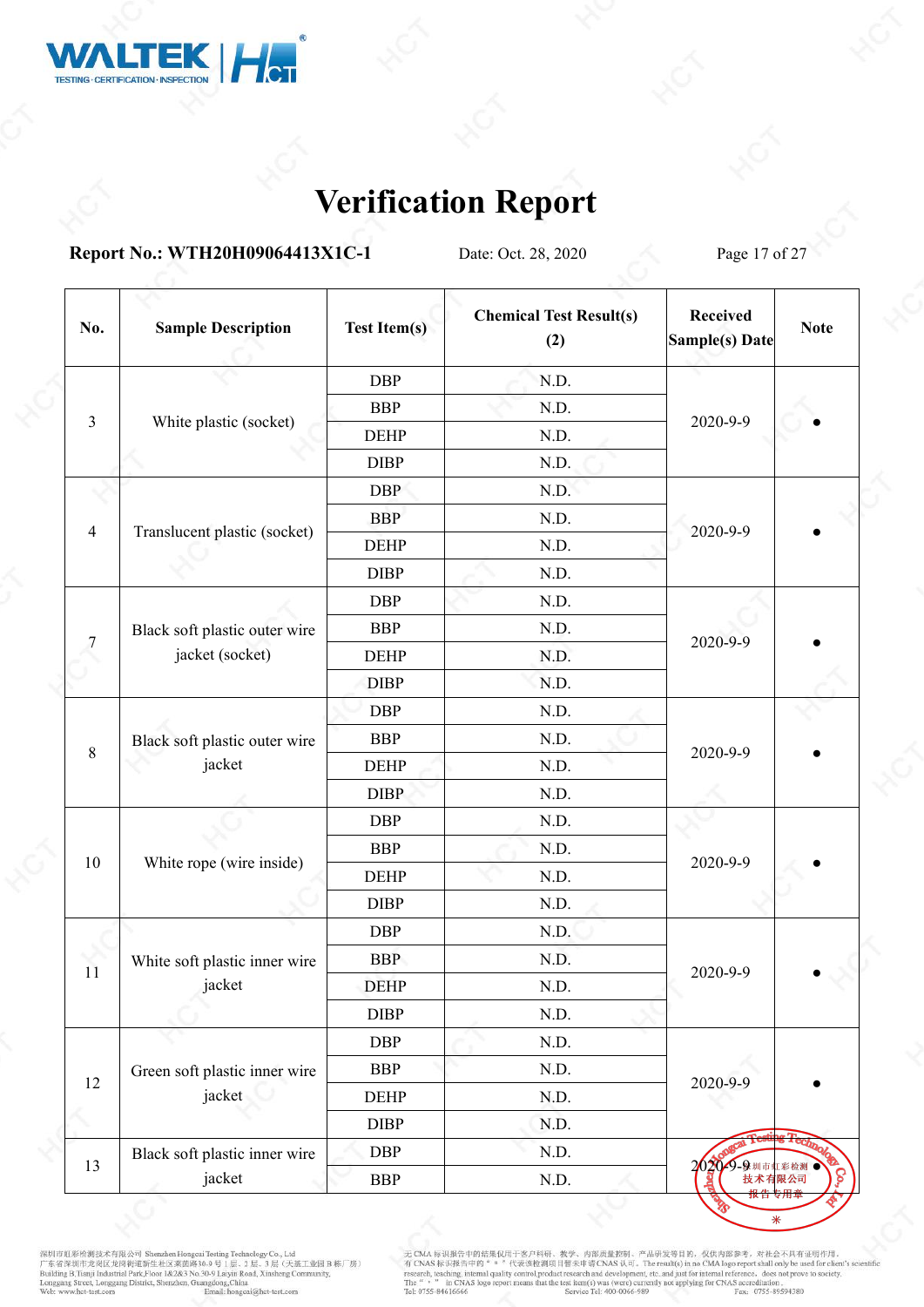

**Report No.: WTH20H09064413X1C-1** Date: Oct. 28, 2020 Page 17 of 27

| No.            | <b>Sample Description</b>               | <b>Test Item(s)</b> | <b>Chemical Test Result(s)</b><br>(2) | <b>Received</b><br>Sample(s) Date | <b>Note</b> |  |
|----------------|-----------------------------------------|---------------------|---------------------------------------|-----------------------------------|-------------|--|
|                |                                         | <b>DBP</b>          | N.D.                                  |                                   |             |  |
|                |                                         | <b>BBP</b>          | N.D.                                  |                                   |             |  |
| $\mathfrak{Z}$ | White plastic (socket)                  | <b>DEHP</b>         | N.D.                                  | 2020-9-9                          |             |  |
|                |                                         | <b>DIBP</b>         | N.D.                                  |                                   |             |  |
|                |                                         | <b>DBP</b>          | N.D.                                  |                                   |             |  |
| $\overline{4}$ |                                         | <b>BBP</b>          | N.D.                                  |                                   |             |  |
|                | Translucent plastic (socket)            | <b>DEHP</b>         | N.D.                                  | 2020-9-9                          |             |  |
|                |                                         | <b>DIBP</b>         | N.D.                                  |                                   |             |  |
| $\overline{7}$ |                                         | <b>DBP</b>          | N.D.                                  |                                   |             |  |
|                | Black soft plastic outer wire           | <b>BBP</b>          | N.D.                                  |                                   |             |  |
|                | jacket (socket)                         | <b>DEHP</b>         | N.D.                                  | 2020-9-9                          |             |  |
|                |                                         | <b>DIBP</b>         | N.D.                                  |                                   |             |  |
|                | Black soft plastic outer wire<br>jacket | <b>DBP</b>          | N.D.                                  |                                   |             |  |
|                |                                         | <b>BBP</b>          | N.D.                                  |                                   |             |  |
| $\,8\,$        |                                         | <b>DEHP</b>         | N.D.                                  | 2020-9-9                          |             |  |
|                |                                         | <b>DIBP</b>         | N.D.                                  |                                   |             |  |
|                |                                         | <b>DBP</b>          | N.D.                                  | 2020-9-9                          |             |  |
|                |                                         | <b>BBP</b>          | N.D.                                  |                                   |             |  |
| $10\,$         | White rope (wire inside)                | <b>DEHP</b>         | N.D.                                  |                                   |             |  |
|                |                                         | <b>DIBP</b>         | N.D.                                  |                                   |             |  |
|                |                                         | <b>DBP</b>          | N.D.                                  |                                   |             |  |
| 11             | White soft plastic inner wire           | <b>BBP</b>          | N.D.                                  | 2020-9-9                          |             |  |
|                | jacket                                  | <b>DEHP</b>         | N.D.                                  |                                   |             |  |
|                |                                         | <b>DIBP</b>         | N.D.                                  |                                   |             |  |
|                |                                         | <b>DBP</b>          | N.D.                                  |                                   |             |  |
| $12\,$         | Green soft plastic inner wire           | <b>BBP</b>          | N.D.                                  | 2020-9-9                          |             |  |
|                | jacket                                  | <b>DEHP</b>         | N.D.                                  |                                   |             |  |
|                |                                         | DIBP                | N.D.                                  |                                   |             |  |
| 13             | Black soft plastic inner wire           | <b>DBP</b>          | N.D.                                  |                                   |             |  |
|                | jacket                                  | <b>BBP</b>          | N.D.                                  | 2020 9-9 加市虹彩检测                   |             |  |

深圳市虹彩检测技术有限公司 Shenzhen Hongcai Testing Technology Co., Ltd<br>广东省深圳市龙岗区龙岗街道新生社区莱茵路30.9 号 1层、2 层、3 层(天基工业园 B 栋厂房)<br>Building B,Tianji Industrial Park,Floor 1&2&3 No.30-9 Laiyin Road, Xinsheng Community,<br>Longang Street, Longgang

无 CMA 标识报告中的结果仅用于客户科研、教学、内部质量控制、产品研发等目的, 仅供内部参考, 对社会不具有证明作用,<br>有 CNAS 标识报告中的" = "代表该检测项目暂未申请 CNAS 认可。The result(s) in no CMA logo report shall only be used for client's scient<br>research, teaching, internal quality control,p

 $\ast$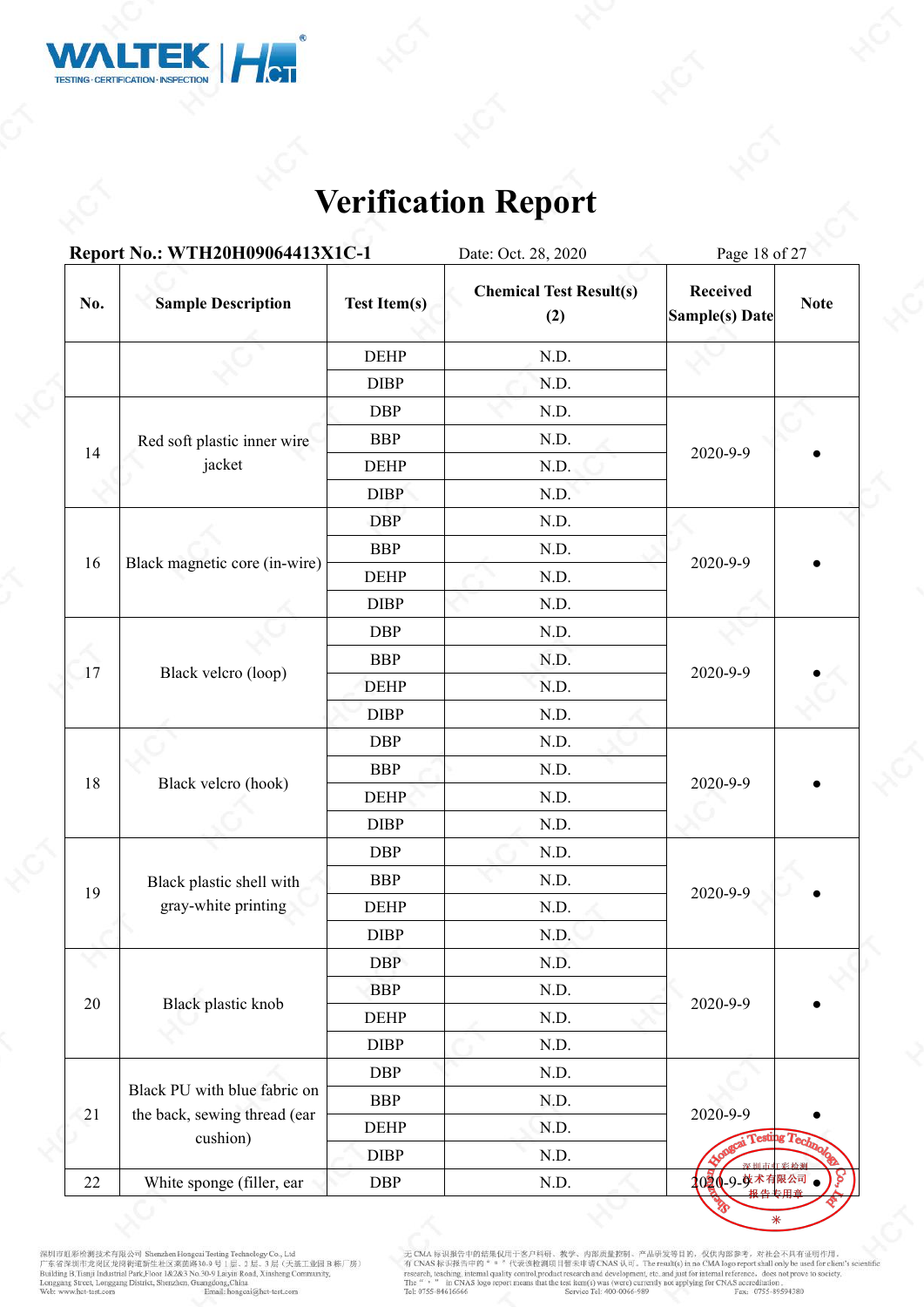

|        | Report No.: WTH20H09064413X1C-1          |                     | Date: Oct. 28, 2020                   | Page 18 of 27                     |                 |
|--------|------------------------------------------|---------------------|---------------------------------------|-----------------------------------|-----------------|
| No.    | <b>Sample Description</b>                | <b>Test Item(s)</b> | <b>Chemical Test Result(s)</b><br>(2) | <b>Received</b><br>Sample(s) Date | <b>Note</b>     |
|        |                                          | <b>DEHP</b>         | N.D.                                  |                                   |                 |
|        |                                          | <b>DIBP</b>         | N.D.                                  |                                   |                 |
|        |                                          | <b>DBP</b>          | N.D.                                  |                                   |                 |
|        | Red soft plastic inner wire              | <b>BBP</b>          | N.D.                                  |                                   |                 |
| 14     | jacket                                   | <b>DEHP</b>         | N.D.                                  | 2020-9-9                          |                 |
|        |                                          | <b>DIBP</b>         | N.D.                                  |                                   |                 |
|        |                                          | <b>DBP</b>          | N.D.                                  |                                   |                 |
|        |                                          | <b>BBP</b>          | N.D.                                  |                                   |                 |
| 16     | Black magnetic core (in-wire)            | <b>DEHP</b>         | N.D.                                  | 2020-9-9                          |                 |
|        |                                          | <b>DIBP</b>         | N.D.                                  |                                   |                 |
|        |                                          | <b>DBP</b>          | N.D.                                  |                                   |                 |
|        |                                          | <b>BBP</b>          | N.D.                                  |                                   |                 |
| 17     | Black velcro (loop)                      | <b>DEHP</b>         | N.D.                                  | 2020-9-9                          |                 |
|        |                                          | <b>DIBP</b>         | N.D.                                  |                                   |                 |
|        |                                          | DBP                 | N.D.                                  |                                   |                 |
|        |                                          | <b>BBP</b>          | N.D.                                  | 2020-9-9                          |                 |
| 18     | Black velcro (hook)                      | <b>DEHP</b>         | N.D.                                  |                                   |                 |
|        |                                          | <b>DIBP</b>         | N.D.                                  |                                   |                 |
|        |                                          | <b>DBP</b>          | N.D.                                  |                                   |                 |
|        | Black plastic shell with                 | <b>BBP</b>          | N.D.                                  |                                   |                 |
| 19     | gray-white printing                      | <b>DEHP</b>         | N.D.                                  | 2020-9-9                          |                 |
|        |                                          | <b>DIBP</b>         | N.D.                                  |                                   |                 |
|        |                                          | <b>DBP</b>          | N.D.                                  |                                   |                 |
|        |                                          | <b>BBP</b>          | N.D.                                  |                                   |                 |
| 20     | Black plastic knob                       | <b>DEHP</b>         | N.D.                                  | 2020-9-9                          |                 |
|        |                                          | <b>DIBP</b>         | N.D.                                  |                                   |                 |
|        |                                          | <b>DBP</b>          | N.D.                                  |                                   |                 |
|        | Black PU with blue fabric on             | <b>BBP</b>          | N.D.                                  |                                   |                 |
| 21     | the back, sewing thread (ear<br>cushion) | $\rm DEHP$          | N.D.                                  | 2020-9-9                          | Testing Technol |
|        |                                          | <b>DIBP</b>         | N.D.                                  |                                   | 彩松油             |
| $22\,$ | White sponge (filler, ear                | <b>DBP</b>          | N.D.                                  | 1020-9-孽术有限公司                     |                 |

深圳市虹彩绘测技术有限公司 Shenzhen Hongcui Testing Technology Co., Ltd<br>广东省深圳市龙岗区龙岗街道新生社区莱茵路30-9 号 1层、2 层、3 层(天基工业园 B 栋厂房)<br>Building B.Tianji Industrial Park,Floor 1&2&3 No.30-9 Laiyin Road, Xinsheng Community,<br>Longgang Street, Longgan

无 CMA 标识报告中的结果仅用于客户科研、教学、内部质量控制、产品研发等目的, 仅供内部参考, 对社会不具有证明作用,<br>有 CNAS 标识报告中的" = "代表该检测项目暂未申请 CNAS 认可, The result(s) in no CMA logo report shall only be used for client's scientific<br>research, teaching, internal quality cont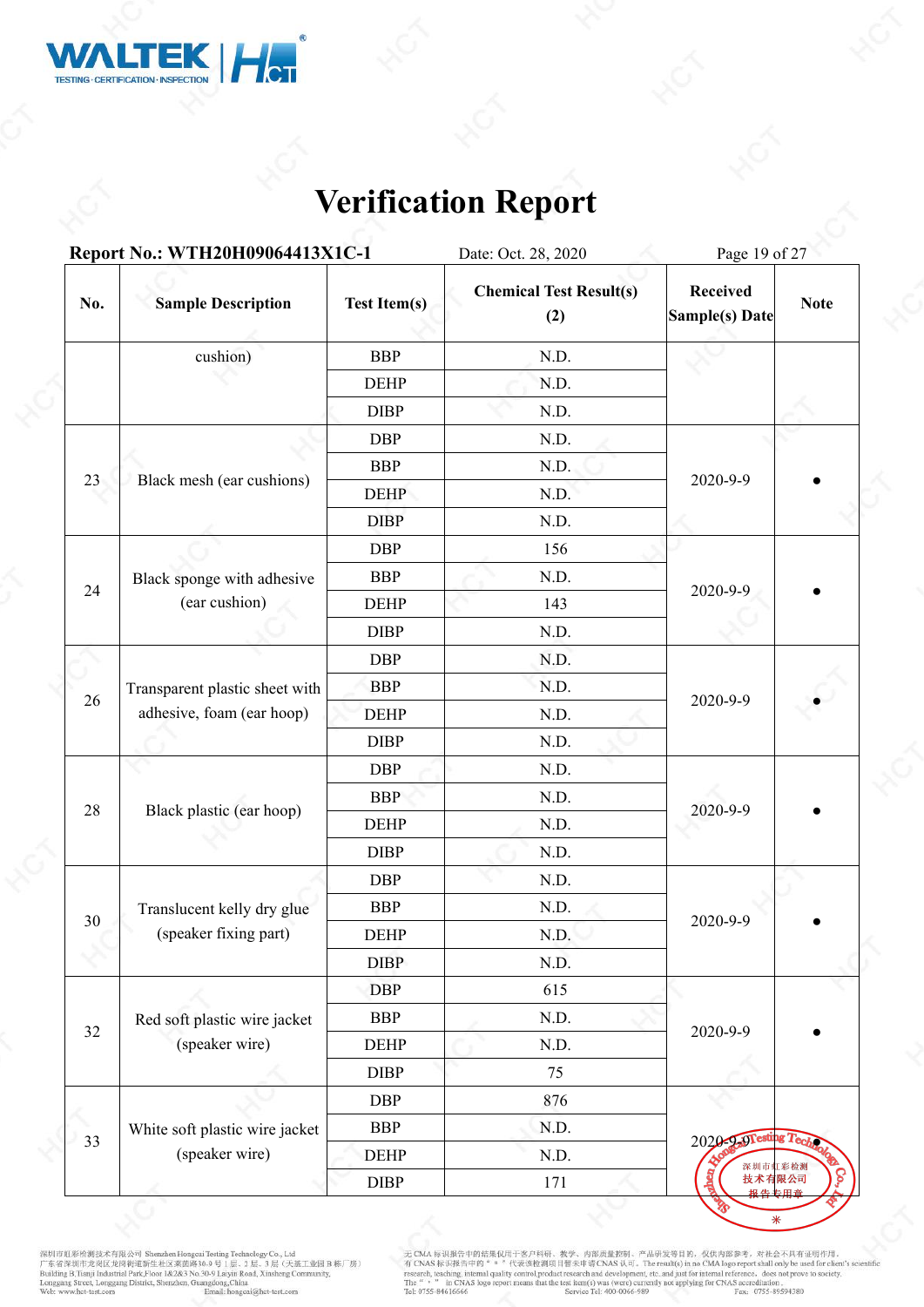

|        | Report No.: WTH20H09064413X1C-1 |                     | Date: Oct. 28, 2020                   | Page 19 of 27                     |             |
|--------|---------------------------------|---------------------|---------------------------------------|-----------------------------------|-------------|
| No.    | <b>Sample Description</b>       | <b>Test Item(s)</b> | <b>Chemical Test Result(s)</b><br>(2) | <b>Received</b><br>Sample(s) Date | <b>Note</b> |
|        | cushion)                        | <b>BBP</b>          | N.D.                                  |                                   |             |
|        |                                 | <b>DEHP</b>         | N.D.                                  |                                   |             |
|        |                                 | <b>DIBP</b>         | N.D.                                  |                                   |             |
|        |                                 | <b>DBP</b>          | N.D.                                  |                                   |             |
|        |                                 | <b>BBP</b>          | N.D.                                  |                                   |             |
| 23     | Black mesh (ear cushions)       | <b>DEHP</b>         | N.D.                                  | 2020-9-9                          |             |
|        |                                 | <b>DIBP</b>         | N.D.                                  |                                   |             |
|        |                                 | <b>DBP</b>          | 156                                   |                                   |             |
| 24     | Black sponge with adhesive      | <b>BBP</b>          | N.D.                                  | 2020-9-9                          |             |
|        | (ear cushion)                   | <b>DEHP</b>         | 143                                   |                                   |             |
|        |                                 | DIBP                | N.D.                                  |                                   |             |
|        |                                 | <b>DBP</b>          | N.D.                                  |                                   |             |
|        | Transparent plastic sheet with  | <b>BBP</b>          | N.D.                                  |                                   |             |
| 26     | adhesive, foam (ear hoop)       | <b>DEHP</b>         | N.D.                                  | 2020-9-9                          |             |
|        |                                 | <b>DIBP</b>         | N.D.                                  |                                   |             |
|        |                                 | <b>DBP</b>          | N.D.                                  |                                   |             |
|        |                                 | <b>BBP</b>          | N.D.                                  | 2020-9-9                          |             |
| 28     | Black plastic (ear hoop)        | <b>DEHP</b>         | N.D.                                  |                                   |             |
|        |                                 | <b>DIBP</b>         | N.D.                                  |                                   |             |
|        |                                 | <b>DBP</b>          | N.D.                                  |                                   |             |
| $30\,$ | Translucent kelly dry glue      | <b>BBP</b>          | N.D.                                  | 2020-9-9                          |             |
|        | (speaker fixing part)           | <b>DEHP</b>         | N.D.                                  |                                   |             |
|        |                                 | <b>DIBP</b>         | N.D.                                  |                                   |             |
|        |                                 | <b>DBP</b>          | 615                                   |                                   |             |
| 32     | Red soft plastic wire jacket    | <b>BBP</b>          | N.D.                                  | 2020-9-9                          |             |
|        | (speaker wire)                  | <b>DEHP</b>         | N.D.                                  |                                   |             |
|        |                                 | <b>DIBP</b>         | 75                                    |                                   |             |
|        |                                 | <b>DBP</b>          | 876                                   |                                   |             |
| ×.     | White soft plastic wire jacket  | <b>BBP</b>          | N.D.                                  | 2020-2-9Testing Tec               |             |
| 33     | (speaker wire)                  | <b>DEHP</b>         | N.D.                                  | 深圳市虹彩检测                           |             |
|        |                                 | DIBP                | 171                                   | 技术有限公司<br>据 生                     |             |

深圳市虹彩绘测技术有限公司 Shenzhen Hongcui Testing Technology Co., Ltd<br>广东省深圳市龙岗区龙岗街道新生社区莱茵路30-9 号 1层、2 层、3 层(天基工业园 B 栋厂房)<br>Building B.Tianji Industrial Park,Floor 1&2&3 No.30-9 Laiyin Road, Xinsheng Community,<br>Longgang Street, Longgan

无 CMA 标识报告中的结果仅用于客户科研、教学、内部质量控制、产品研发等目的, 仅供内部参考, 对社会不具有证明作用,<br>有 CNAS 标识报告中的" = "代表该检测项目暂未申请 CNAS 认可, The result(s) in no CMA logo report shall only be used for client's scientific<br>research, teaching, internal quality cont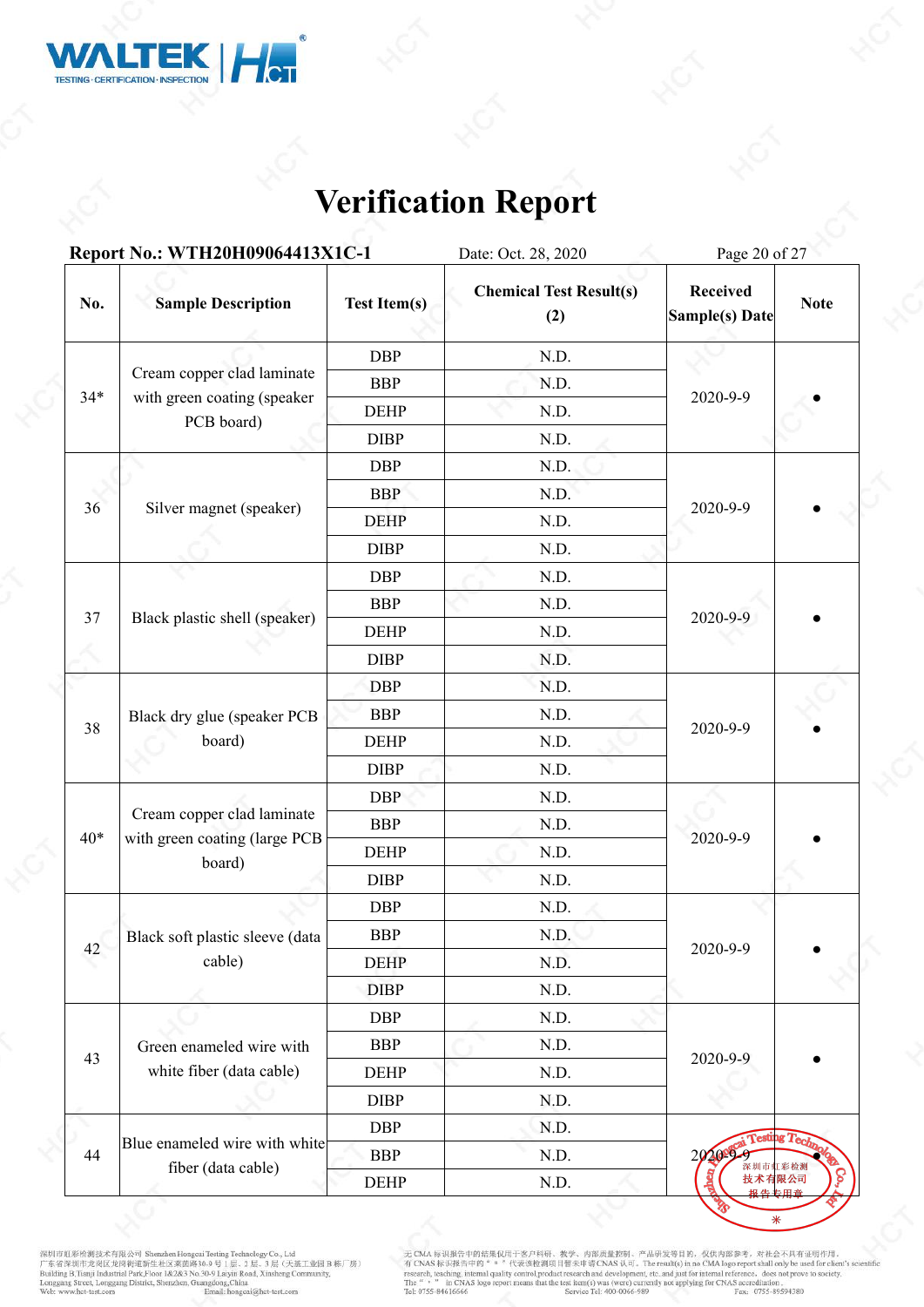

|       | Report No.: WTH20H09064413X1C-1                             |                     | Date: Oct. 28, 2020                   | Page 20 of 27                     |             |  |
|-------|-------------------------------------------------------------|---------------------|---------------------------------------|-----------------------------------|-------------|--|
| No.   | <b>Sample Description</b>                                   | <b>Test Item(s)</b> | <b>Chemical Test Result(s)</b><br>(2) | <b>Received</b><br>Sample(s) Date | <b>Note</b> |  |
|       |                                                             | <b>DBP</b>          | N.D.                                  |                                   |             |  |
|       | Cream copper clad laminate                                  | <b>BBP</b>          | N.D.                                  |                                   |             |  |
| $34*$ | with green coating (speaker                                 | <b>DEHP</b>         | N.D.                                  | 2020-9-9                          |             |  |
|       | PCB board)                                                  | <b>DIBP</b>         | N.D.                                  |                                   |             |  |
|       |                                                             | <b>DBP</b>          | N.D.                                  |                                   |             |  |
|       |                                                             | <b>BBP</b>          | N.D.                                  |                                   |             |  |
| 36    | Silver magnet (speaker)                                     | <b>DEHP</b>         | N.D.                                  | 2020-9-9                          |             |  |
|       |                                                             | <b>DIBP</b>         | N.D.                                  |                                   |             |  |
|       |                                                             | <b>DBP</b>          | N.D.                                  |                                   |             |  |
|       | Black plastic shell (speaker)                               | <b>BBP</b>          | N.D.                                  |                                   |             |  |
| 37    |                                                             | <b>DEHP</b>         | N.D.                                  | 2020-9-9                          |             |  |
|       |                                                             | <b>DIBP</b>         | N.D.                                  |                                   |             |  |
|       |                                                             | <b>DBP</b>          | N.D.                                  |                                   |             |  |
| 38    | Black dry glue (speaker PCB                                 | <b>BBP</b>          | N.D.                                  |                                   |             |  |
|       | board)                                                      | <b>DEHP</b>         | N.D.                                  | 2020-9-9                          |             |  |
|       |                                                             | <b>DIBP</b>         | N.D.                                  |                                   |             |  |
|       |                                                             | <b>DBP</b>          | N.D.                                  | 2020-9-9                          |             |  |
| $40*$ | Cream copper clad laminate<br>with green coating (large PCB | <b>BBP</b>          | N.D.                                  |                                   |             |  |
|       | board)                                                      | <b>DEHP</b>         | N.D.                                  |                                   |             |  |
|       |                                                             | <b>DIBP</b>         | N.D.                                  |                                   |             |  |
|       |                                                             | <b>DBP</b>          | N.D.                                  |                                   |             |  |
| 42    | Black soft plastic sleeve (data                             | <b>BBP</b>          | N.D.                                  | 2020-9-9                          |             |  |
|       | cable)                                                      | <b>DEHP</b>         | N.D.                                  |                                   |             |  |
|       |                                                             | <b>DIBP</b>         | N.D.                                  |                                   |             |  |
|       |                                                             | <b>DBP</b>          | N.D.                                  |                                   |             |  |
| 43    | Green enameled wire with                                    | <b>BBP</b>          | N.D.                                  | 2020-9-9                          |             |  |
|       | white fiber (data cable)                                    | <b>DEHP</b>         | N.D.                                  |                                   |             |  |
|       |                                                             | <b>DIBP</b>         | N.D.                                  |                                   |             |  |
|       |                                                             | <b>DBP</b>          | N.D.                                  | esting T                          |             |  |
| 44    | Blue enameled wire with white<br>fiber (data cable)         | <b>BBP</b>          | N.D.                                  | 2020年9月                           |             |  |
|       |                                                             | $DEHP$              | N.D.                                  | 技术有限公司<br>报告                      |             |  |

深圳市虹彩绘测技术有限公司 Shenzhen Hongcui Testing Technology Co., Ltd<br>广东省深圳市龙岗区龙岗街道新生社区莱茵路30-9 号 1层、2 层、3 层(天基工业园 B 栋厂房)<br>Building B.Tianji Industrial Park,Floor 1&2&3 No.30-9 Laiyin Road, Xinsheng Community,<br>Longgang Street, Longgan

无 CMA 标识报告中的结果仅用于客户科研、教学、内部质量控制、产品研发等目的, 仅供内部参考, 对社会不具有证明作用,<br>有 CNAS 标识报告中的" = "代表该检测项目暂未申请 CNAS 认可, The result(s) in no CMA logo report shall only be used for client's scientific<br>research, teaching, internal quality cont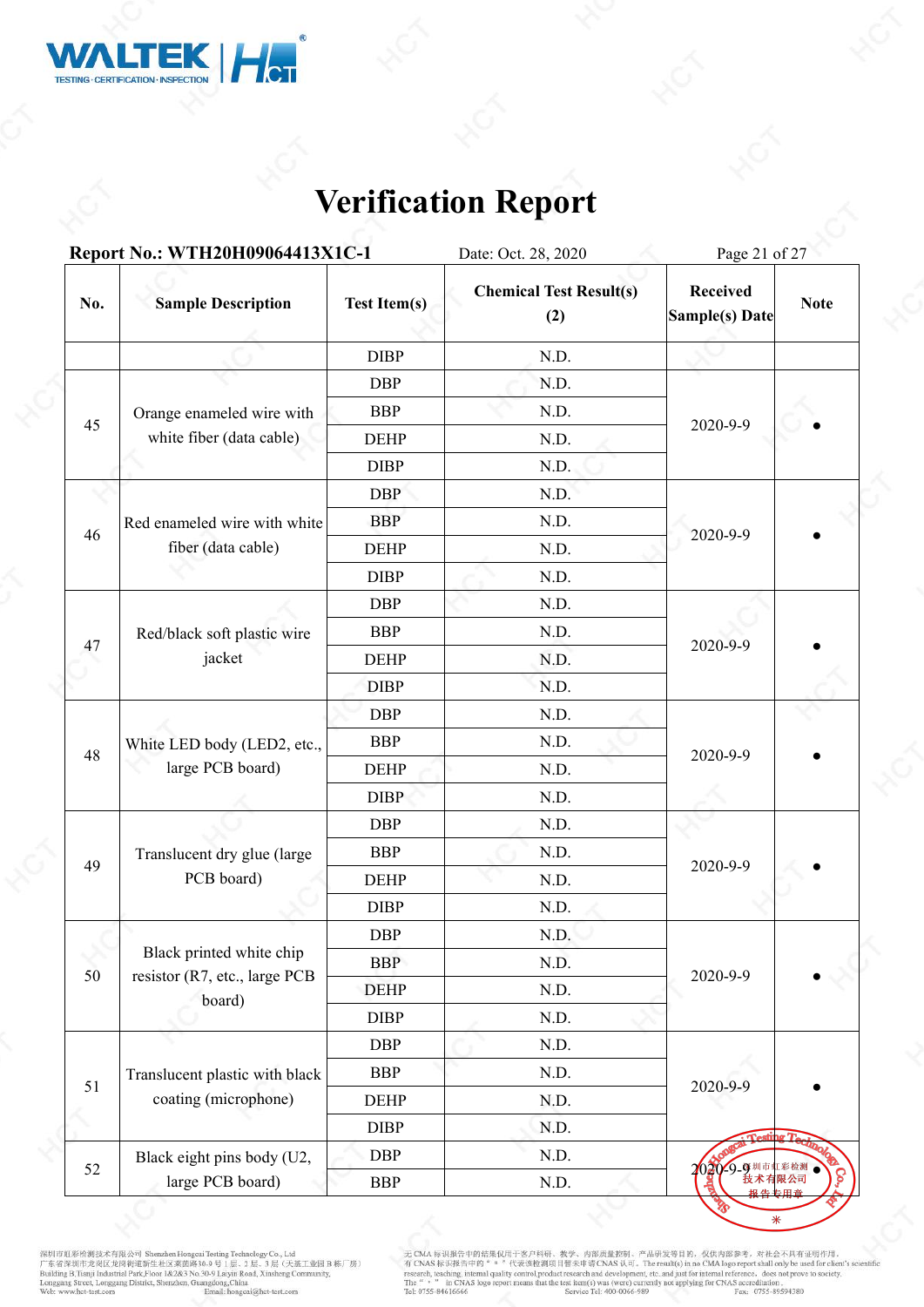

|     | Report No.: WTH20H09064413X1C-1                           |                     | Date: Oct. 28, 2020                   | Page 21 of 27                     |             |  |
|-----|-----------------------------------------------------------|---------------------|---------------------------------------|-----------------------------------|-------------|--|
| No. | <b>Sample Description</b>                                 | <b>Test Item(s)</b> | <b>Chemical Test Result(s)</b><br>(2) | <b>Received</b><br>Sample(s) Date | <b>Note</b> |  |
|     |                                                           | <b>DIBP</b>         | N.D.                                  |                                   |             |  |
|     |                                                           | <b>DBP</b>          | N.D.                                  |                                   |             |  |
|     | Orange enameled wire with                                 | <b>BBP</b>          | N.D.                                  |                                   |             |  |
| 45  | white fiber (data cable)                                  | <b>DEHP</b>         | N.D.                                  | 2020-9-9                          |             |  |
|     |                                                           | <b>DIBP</b>         | N.D.                                  |                                   |             |  |
|     |                                                           | <b>DBP</b>          | N.D.                                  |                                   |             |  |
| 46  | Red enameled wire with white                              | <b>BBP</b>          | N.D.                                  |                                   |             |  |
|     | fiber (data cable)                                        | <b>DEHP</b>         | N.D.                                  | 2020-9-9                          |             |  |
|     |                                                           | <b>DIBP</b>         | N.D.                                  |                                   |             |  |
| 47  |                                                           | <b>DBP</b>          | N.D.                                  |                                   |             |  |
|     | Red/black soft plastic wire<br>jacket                     | <b>BBP</b>          | N.D.                                  |                                   |             |  |
|     |                                                           | <b>DEHP</b>         | N.D.                                  | 2020-9-9                          |             |  |
|     |                                                           | <b>DIBP</b>         | N.D.                                  |                                   |             |  |
|     |                                                           | <b>DBP</b>          | N.D.                                  |                                   |             |  |
|     | White LED body (LED2, etc.,<br>large PCB board)           | <b>BBP</b>          | N.D.                                  | 2020-9-9                          |             |  |
| 48  |                                                           | <b>DEHP</b>         | N.D.                                  |                                   |             |  |
|     |                                                           | <b>DIBP</b>         | N.D.                                  |                                   |             |  |
|     |                                                           | <b>DBP</b>          | N.D.                                  |                                   |             |  |
| 49  | Translucent dry glue (large                               | <b>BBP</b>          | N.D.                                  | 2020-9-9                          |             |  |
|     | PCB board)                                                | <b>DEHP</b>         | N.D.                                  |                                   |             |  |
|     |                                                           | <b>DIBP</b>         | N.D.                                  |                                   |             |  |
|     |                                                           | <b>DBP</b>          | N.D.                                  |                                   |             |  |
| 50  | Black printed white chip<br>resistor (R7, etc., large PCB | <b>BBP</b>          | N.D.                                  | 2020-9-9                          |             |  |
|     | board)                                                    | <b>DEHP</b>         | N.D.                                  |                                   |             |  |
|     |                                                           | <b>DIBP</b>         | N.D.                                  |                                   |             |  |
|     |                                                           | <b>DBP</b>          | N.D.                                  |                                   |             |  |
| 51  | Translucent plastic with black                            | <b>BBP</b>          | N.D.                                  | 2020-9-9                          |             |  |
|     | coating (microphone)                                      | <b>DEHP</b>         | N.D.                                  |                                   |             |  |
|     |                                                           | <b>DIBP</b>         | N.D.                                  |                                   |             |  |
| 52  | Black eight pins body (U2,                                | <b>DBP</b>          | N.D.                                  | 2020 9-9 期市虹                      |             |  |
|     | large PCB board)                                          | <b>BBP</b>          | N.D.                                  |                                   |             |  |

深圳市虹彩绘测技术有限公司 Shenzhen Hongcui Testing Technology Co., Ltd<br>广东省深圳市龙岗区龙岗街道新生社区莱茵路30-9 号 1层、2 层、3 层(天基工业园 B 栋厂房)<br>Building B.Tianji Industrial Park,Floor 1&2&3 No.30-9 Laiyin Road, Xinsheng Community,<br>Longgang Street, Longgan

无 CMA 标识报告中的结果仅用于客户科研、教学、内部质量控制、产品研发等目的, 仅供内部参考, 对社会不具有证明作用,<br>有 CNAS 标识报告中的" = "代表该检测项目暂未申请 CNAS 认可, The result(s) in no CMA logo report shall only be used for client's scientific<br>research, teaching, internal quality cont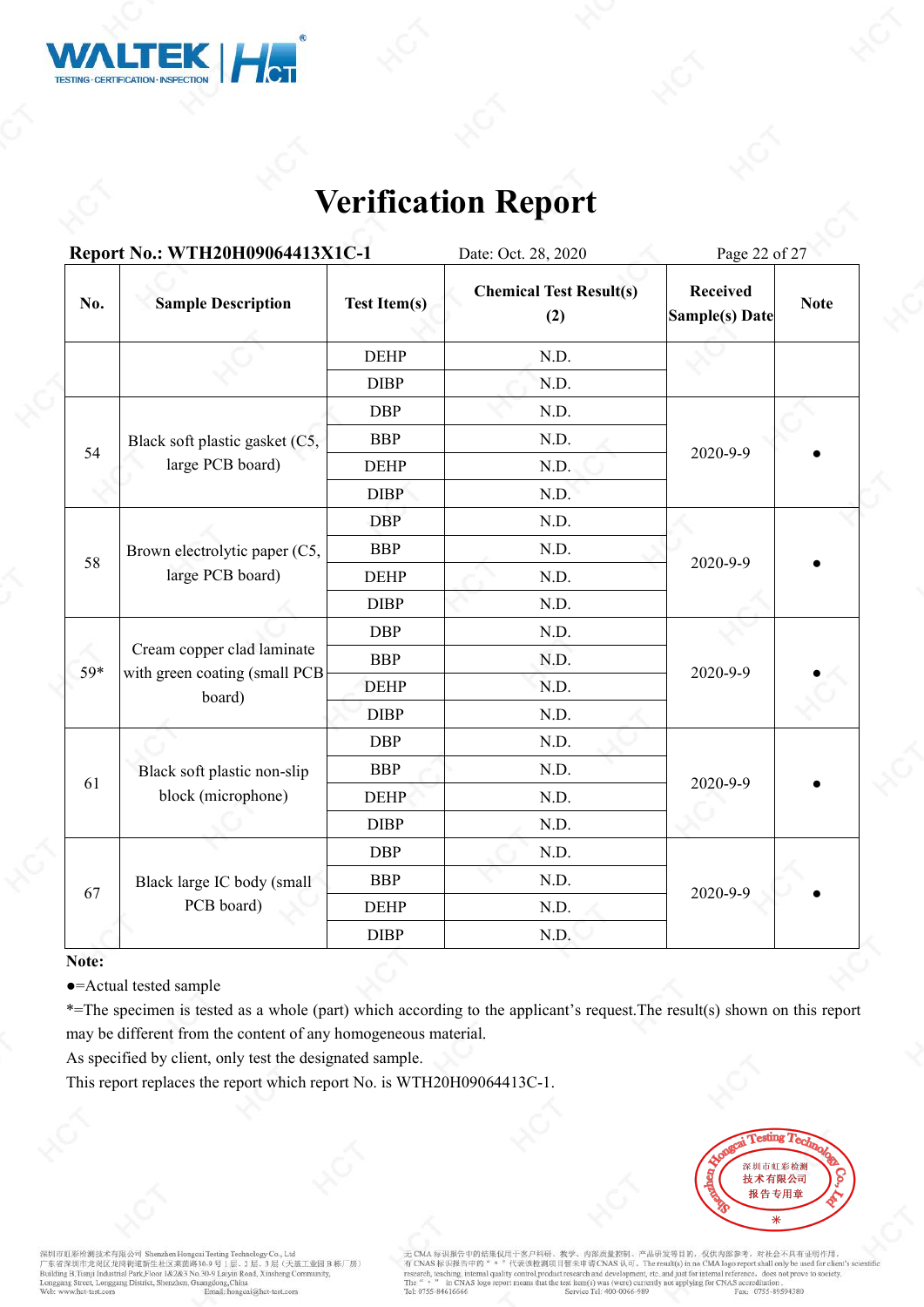

|     | Report No.: WTH20H09064413X1C-1                   |                     | Date: Oct. 28, 2020                   | Page 22 of 27                     |             |  |  |
|-----|---------------------------------------------------|---------------------|---------------------------------------|-----------------------------------|-------------|--|--|
| No. | <b>Sample Description</b>                         | <b>Test Item(s)</b> | <b>Chemical Test Result(s)</b><br>(2) | <b>Received</b><br>Sample(s) Date | <b>Note</b> |  |  |
|     |                                                   | <b>DEHP</b>         | N.D.                                  |                                   |             |  |  |
|     |                                                   | <b>DIBP</b>         | N.D.                                  |                                   |             |  |  |
|     |                                                   | <b>DBP</b>          | N.D.                                  |                                   |             |  |  |
| 54  | Black soft plastic gasket (C5,                    | <b>BBP</b>          | N.D.                                  |                                   |             |  |  |
|     | large PCB board)                                  | <b>DEHP</b>         | N.D.                                  | 2020-9-9                          |             |  |  |
|     |                                                   | <b>DIBP</b>         | N.D.                                  |                                   |             |  |  |
| 58  | Brown electrolytic paper (C5,<br>large PCB board) | <b>DBP</b>          | N.D.                                  |                                   |             |  |  |
|     |                                                   | <b>BBP</b>          | N.D.                                  |                                   |             |  |  |
|     |                                                   | <b>DEHP</b>         | N.D.                                  | 2020-9-9                          |             |  |  |
|     |                                                   | <b>DIBP</b>         | N.D.                                  |                                   |             |  |  |
|     |                                                   | <b>DBP</b>          | N.D.                                  | 2020-9-9                          |             |  |  |
| 59* | Cream copper clad laminate                        | <b>BBP</b>          | N.D.                                  |                                   |             |  |  |
|     | with green coating (small PCB $\vert$<br>board)   | <b>DEHP</b>         | N.D.                                  |                                   |             |  |  |
|     |                                                   | <b>DIBP</b>         | N.D.                                  |                                   |             |  |  |
|     |                                                   | DBP                 | N.D.                                  |                                   |             |  |  |
| 61  | Black soft plastic non-slip                       | <b>BBP</b>          | N.D.                                  | 2020-9-9                          |             |  |  |
|     | block (microphone)                                | <b>DEHP</b>         | N.D.                                  |                                   |             |  |  |
|     |                                                   | <b>DIBP</b>         | N.D.                                  |                                   |             |  |  |
|     |                                                   | <b>DBP</b>          | N.D.                                  |                                   |             |  |  |
| 67  | Black large IC body (small                        | <b>BBP</b>          | N.D.                                  | 2020-9-9                          |             |  |  |
|     | PCB board)                                        | <b>DEHP</b>         | N.D.                                  |                                   |             |  |  |
|     |                                                   | <b>DIBP</b>         | N.D.                                  |                                   |             |  |  |

### **Note:**

●=Actual tested sample

\*=The specimen is tested as a whole (part) which according to the applicant's request.The result(s) shown on this report may be different from the content of any homogeneous material.

As specified by client, only test the designated sample.

This report replaces the report which report No. is WTH20H09064413C-1.



深圳市帄彩检测技术有限公司 Shen zhen Hone 6\*84同本以外的《SAC》、SACTION SEARCHILL TO THE SUBSEAUTOR OF THE SEARCH THE SUBSEAUTOR THE SUBSEAUTOR OF THE SUBSEAUTOR SUBSEAUTOR DRIVER BUT AND BUILDING BUT AND DURING DURING THE SUBSEAUTOR DURING THE SUBSEAUTOR SUBSEAUTOR SUB 无 CMA 标识报告中的结果仅用于客户科研、教学、内部质量控制、产品研发等目的, 仅供内部参考, 对社会不具有证明作用。<br>有 CNAS 标识报告中的 " \* "代表该检测项目暂未申请 CNAS 认可。The result(s) in no CMA logo report shall only be used for client's sc<br>research, teaching, interesting, interesting, int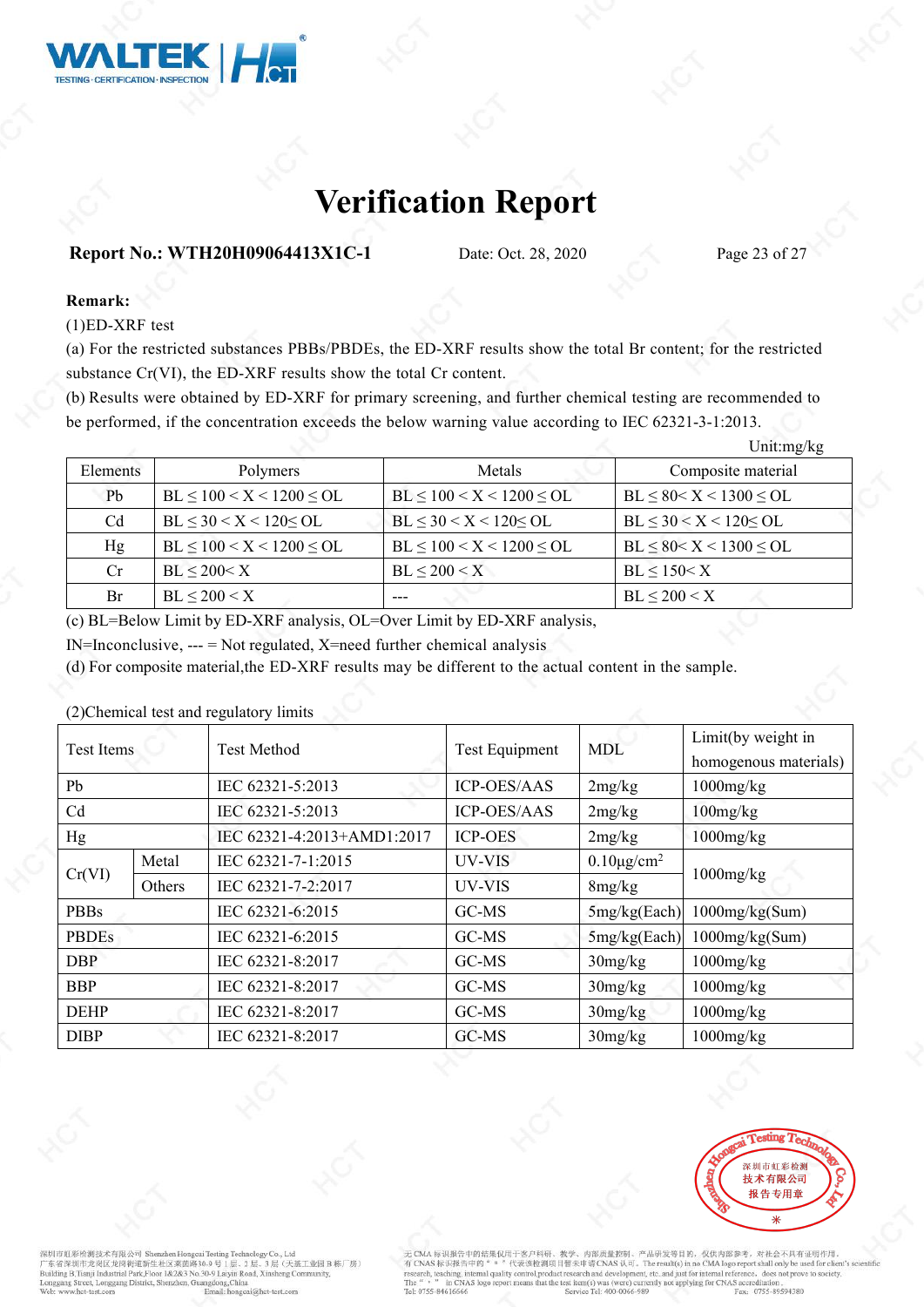

### **Report No.: WTH20H09064413X1C-1** Date: Oct. 28, 2020 Page 23 of 27

### **Remark:**

(1)ED-XRF test

(a) For the restricted substances PBBs/PBDEs, the ED-XRF results show the total Br content; for the restricted substance Cr(VI), the ED-XRF results show the total Cr content.

(b) Results were obtained by ED-XRF for primary screening, and further chemical testing are recommended to be performed, if the concentration exceeds the below warning value according to IEC 62321-3-1:2013.

|          |                                  | Unit: $mg/kg$                    |                               |
|----------|----------------------------------|----------------------------------|-------------------------------|
| Elements | Polymers                         | Metals                           | Composite material            |
| Pb       | $BL \le 100 < X < 1200 \le OL$   | $BL \leq 100 < X < 1200 \leq OL$ | $BL \le 80 < X < 1300 \le OL$ |
| Cd       | $BL \leq 30 < X < 120 < SL$      | $BL \leq 30 < X < 120 \leq OL$   | $BL \leq 30 < X < 120 < OL$   |
| Hg       | $BL \leq 100 < X < 1200 \leq OL$ | $BL \le 100 < X < 1200 \le OL$   | $BL \le 80 < X < 1300 \le OL$ |
| Cr.      | $BL \leq 200 < X$                | $BL \leq 200 \leq X$             | $BL \leq 150 < X$             |
| Br       | $BL \leq 200 \leq X$             | ---                              | $BL \leq 200 \leq X$          |

(c) BL=Below Limit by ED-XRF analysis, OL=Over Limit by ED-XRF analysis,

 $IN=Inconclusive, --- = Not regulated, X=need further chemical analysis$ 

(d) For composite material,the ED-XRF results may be different to the actual content in the sample.

(2)Chemical test and regulatory limits

| Test Items   |        | <b>Test Method</b>         | <b>Test Equipment</b> | <b>MDL</b>             | Limit(by weight in    |  |  |
|--------------|--------|----------------------------|-----------------------|------------------------|-----------------------|--|--|
|              |        |                            |                       |                        | homogenous materials) |  |  |
| Pb           |        | IEC 62321-5:2013           | <b>ICP-OES/AAS</b>    | 2mg/kg                 | $1000$ mg/ $kg$       |  |  |
| Cd           |        | IEC 62321-5:2013           | <b>ICP-OES/AAS</b>    | 2mg/kg                 | $100$ mg/ $kg$        |  |  |
| Hg           |        | IEC 62321-4:2013+AMD1:2017 | <b>ICP-OES</b>        | 2mg/kg                 | $1000$ mg/ $kg$       |  |  |
| Cr(VI)       | Metal  | IEC 62321-7-1:2015         | UV-VIS                | $0.10\mu\text{g/cm}^2$ |                       |  |  |
|              | Others | IEC 62321-7-2:2017         | UV-VIS                | 8mg/kg                 | $1000$ mg/ $kg$       |  |  |
| <b>PBBs</b>  |        | IEC 62321-6:2015           | GC-MS                 | 5mg/kg(Each)           | $1000$ mg/kg(Sum)     |  |  |
| <b>PBDEs</b> |        | IEC 62321-6:2015           | GC-MS                 | 5mg/kg(Each)           | $1000$ mg/kg(Sum)     |  |  |
| <b>DBP</b>   |        | IEC 62321-8:2017           | GC-MS                 | 30mg/kg                | $1000$ mg/ $kg$       |  |  |
| <b>BBP</b>   |        | IEC 62321-8:2017           | GC-MS                 | 30mg/kg                | $1000$ mg/ $kg$       |  |  |
| <b>DEHP</b>  |        | IEC 62321-8:2017           | GC-MS                 | 30mg/kg                | $1000$ mg/ $kg$       |  |  |
| <b>DIBP</b>  |        | IEC 62321-8:2017           | GC-MS                 | 30mg/kg                | $1000$ mg/ $kg$       |  |  |



**可要检测技术有限公司 Sh** \* 京省深圳市龙岗区龙岗街道新生社区莱茵路30-9 号 L层、2 层、3 层(天涯<br>- 京省深圳市龙岗区龙岗街道新生社区莱茵路30-9 号 L层、2 层、3 层(天涯<br>uilding B,Tianji Industrial Park,Floor 1&2&3 No.30-9 Laiyin Road, Xinsheng Cor 层(天基工业园B栋厂房) et, Longgang District, Shenzhen, Guangdong, China Email: ho

中的结果仅用于客户科研、 内部质量控制、产品研发等目的、仅供内部参考、对社会不具有证明作用、 CMA 标识换音中的结果以用于各户标时、数字、片部或皿形制,广油制本等可的,这种内容。<br>CNAS 标识报告中的 " 。 " 代表这检测项目暂未申请 CNAS 认可。The result(s) in no CMA logo report shall only be used for client's s<br>carch, teaching, internal quality control,product research and devel in CNAS logo that the test item(s) was (were) currently not applying for CNAS accreditation Fax: 0755-89594380 Tel: 0755-84616666 Service Tel: 400-0066-989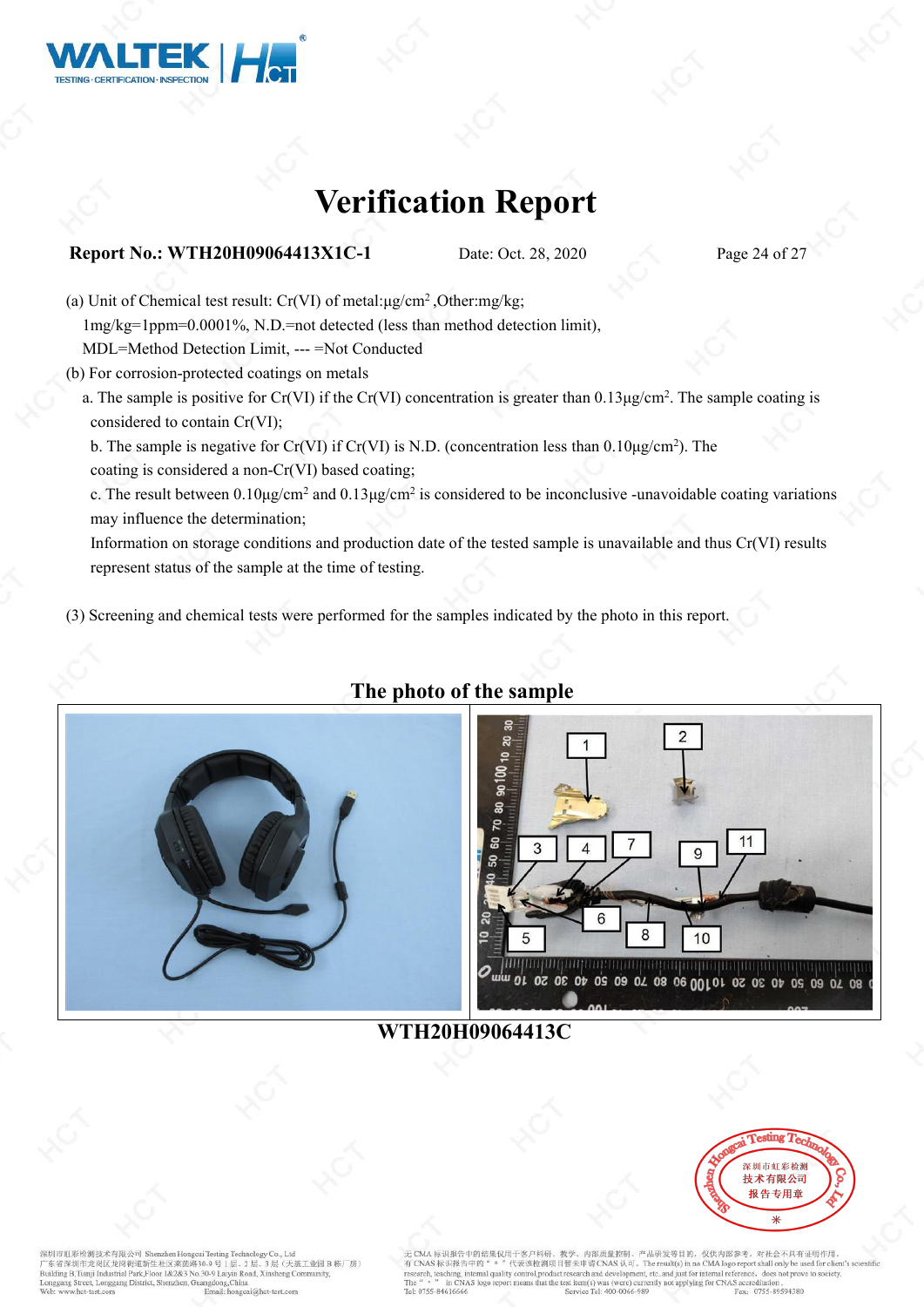

### **Report No.: WTH20H09064413X1C-1** Date: Oct. 28, 2020 Page 24 of 27

(a) Unit of Chemical test result: Cr(VI) of metal:μg/cm<sup>2</sup> ,Other:mg/kg; 1mg/kg=1ppm=0.0001%, N.D.=not detected (lessthan method detection limit), MDL=Method Detection Limit, --- =Not Conducted (b) For corrosion-protected coatings on metals

- a. The sample is positive for Cr(VI) if the Cr(VI) concentration is greater than  $0.13\mu\text{g/cm}^2$ . The sample coating is considered to contain Cr(VI);
	- b. The sample is negative for Cr(VI) if Cr(VI) is N.D. (concentration less than  $0.10\mu\text{g/cm}^2$ ). The coating is considered a non-Cr(VI) based coating;

c. The result between  $0.10 \mu$ g/cm<sup>2</sup> and  $0.13 \mu$ g/cm<sup>2</sup> is considered to be inconclusive -unavoidable coating variations may influence the determination;

Information on storage conditions and production date of the tested sample is unavailable and thus Cr(VI) results represent status of the sample at the time of testing.

(3) Screening and chemical tests were performed for the samples indicated by the photo in this report.



### **The photo of the sample**



**WTH20H09064413C**



**可要检测技术有限公司 She** whan LL 层(天基工业园B栋厂房) reet, Longgang District, Shenzhen, Guangdong, China Email: honecai@hct-test.com

识报告中的结果仅用于客户科研、 内部质量控制、产品研发等目的、仅供内部参考、对社会不具有证明作用 无 CMA 标识报告中的结果仅用于客户科研、教学、内部质量控制、产品研发等目的, 仅供内部参考, 对社会不具有证明作用,<br>有 CNA 标识报告中的 " · · " 代表谈检测项目 程本申请 CNAS 认 可。 The result(s) in no CMA logo report shall only be used for client's<br>research, teaching, internal quality control,pr Tel: 0755-84616666 Fax: 0755-89594380 Service Tel: 400-0066-989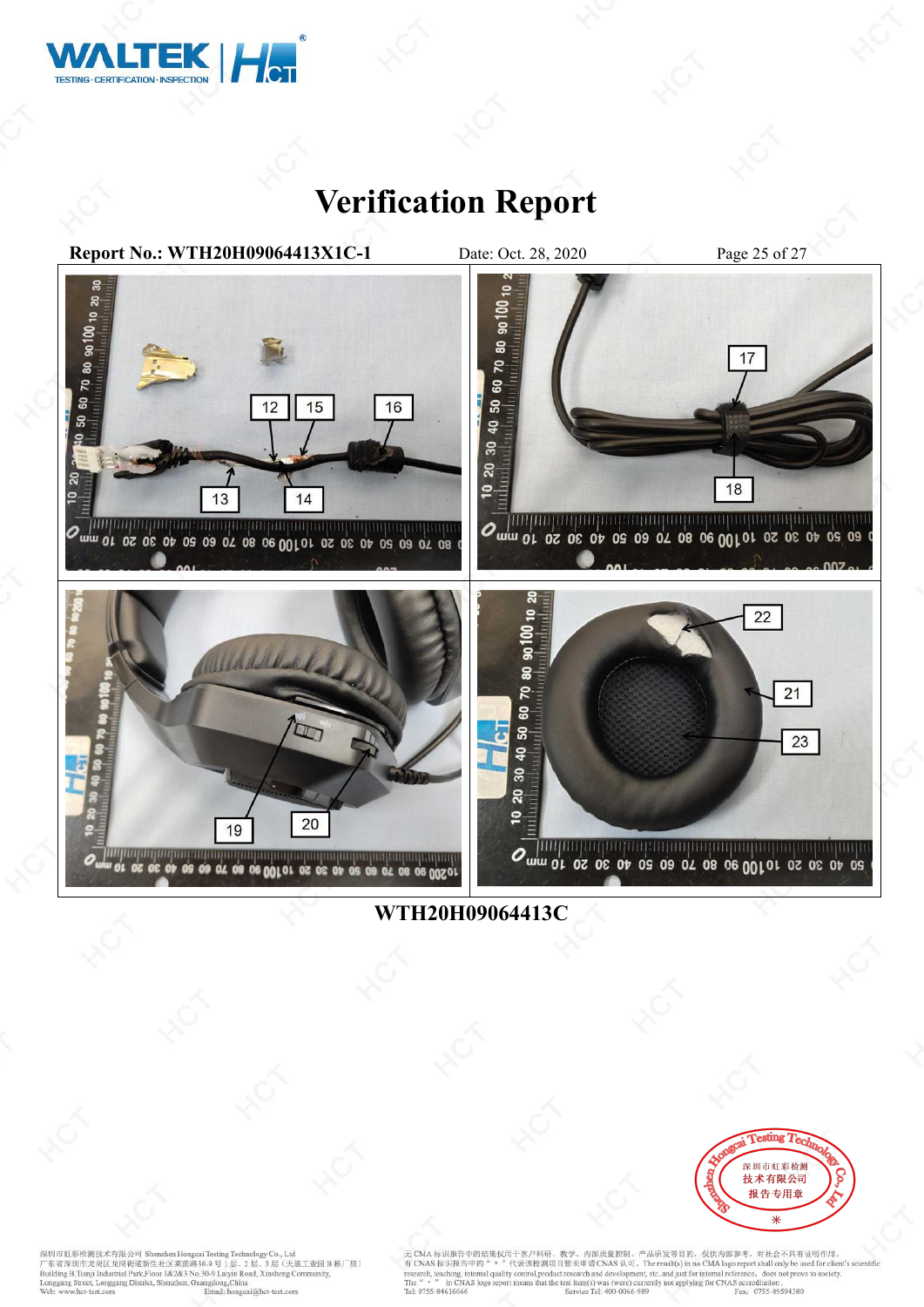



**WTH20H09064413C**



深圳市虹彩检测技术有限公司 Shenzhen Hongcai Testing Technology Co., Ltd<br>广东省深圳市龙岗区龙岗街道新生社区莱茵路30-9 号 1 层、2 层、3 层(天基工业园 B 栋厂房)<br>Building B.Tnaji Industrial Park,Floor 1&2&3 No.30-9 Laiyin Road, Xinsheng Community,<br>Longgang Street, Longgan

无 CMA 标识报告中的结果仅用于客户科研、教学、内部质量控制、产品研发等目的, 仅供内部参考, 对社会不具有证明作用。<br>有 CNAS 标识报告中的 " " "代表该检测项目智未申请 CNAS 认可。The result(s) in no CMA logo report shall only be used for client's scient<br>research, teaching, internal passiling, intern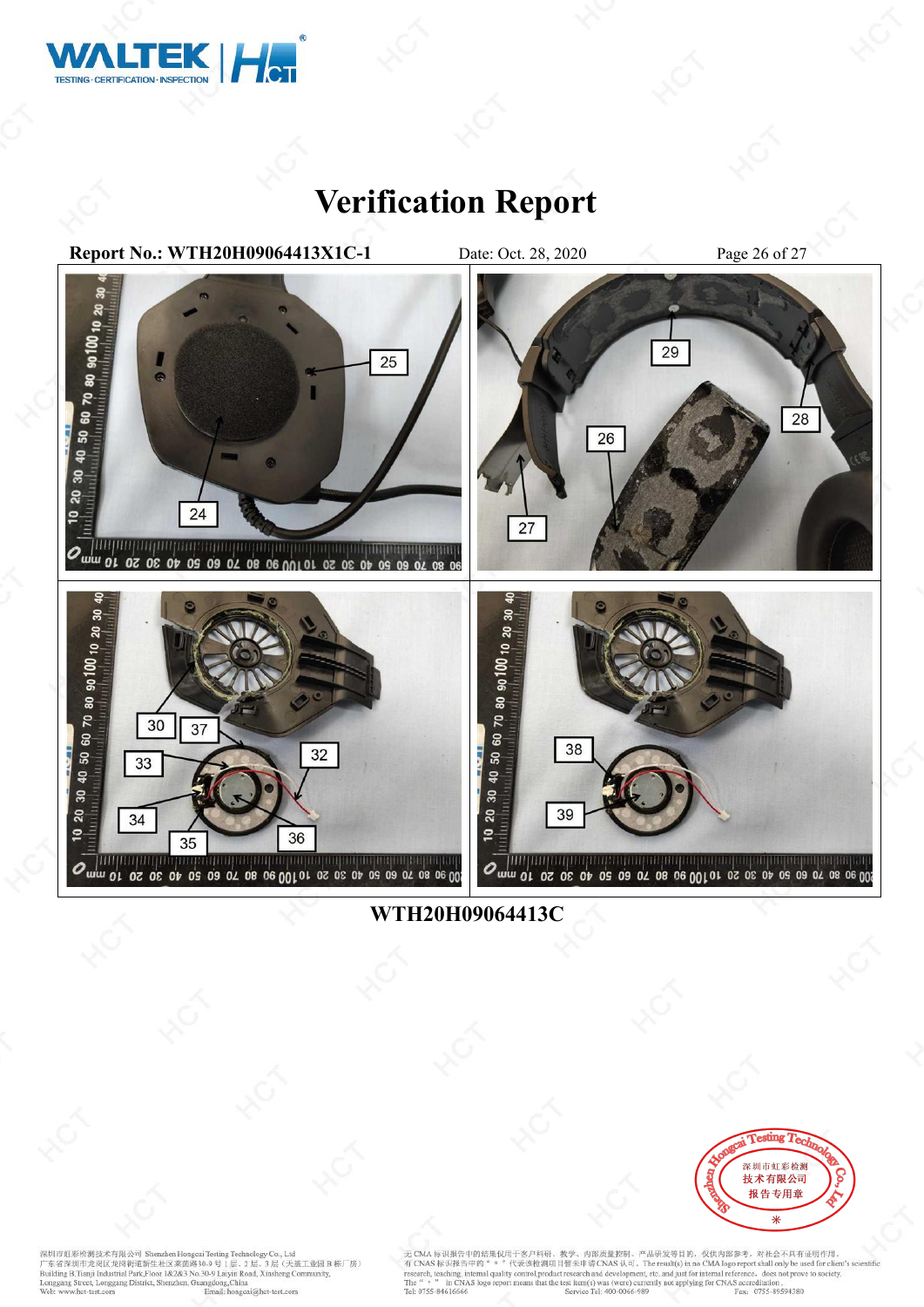



**WTH20H09064413C**



深圳市虹彩检测技术有限公司 Shenzhen Hongcai Testing Technology Co., Ltd<br>广东省深圳市龙岗区龙岗街道新生社区莱茵路30-9 号 1 层、2 层、3 层(天基工业园 B 栋厂房)<br>Building B.Tnaji Industrial Park,Floor 1&2&3 No.30-9 Laiyin Road, Xinsheng Community,<br>Longgang Street, Longgan

无 CMA 标识报告中的结果仅用于客户科研、教学、内部质量控制、产品研发等目的, 仅供内部参考, 对社会不具有证明作用。<br>有 CNAS 标识报告中的" = "代表该检测项目暂未申请 CNAS 认可。The result(s) in no CMA logo report shall only be used for client's scien<br>research, teaching, internal quality control,pr